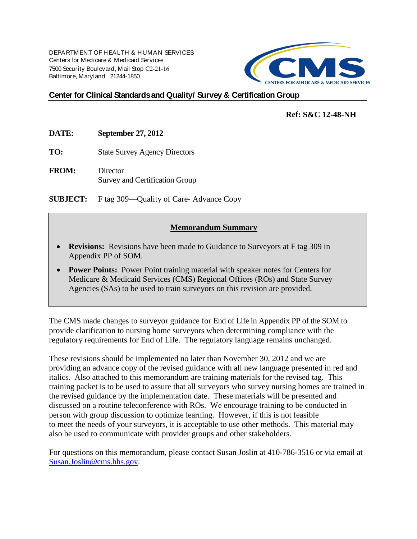DEPARTMENT OF HEALTH & HUMAN SERVICES Centers for Medicare & Medicaid Services 7500 Security Boulevard, Mail Stop C2-21-16 Baltimore, Maryland 21244-1850



#### **Center for Clinical Standards and Quality/ Survey & Certification Group**

#### **Ref: S&C 12-48-NH**

**DATE: September 27, 2012**

**TO:** State Survey Agency Directors

**FROM:** Director Survey and Certification Group

**SUBJECT:** F tag 309—Quality of Care- Advance Copy

#### **Memorandum Summary**

- **Revisions:** Revisions have been made to Guidance to Surveyors at F tag 309 in Appendix PP of SOM.
- **Power Points:** Power Point training material with speaker notes for Centers for Medicare & Medicaid Services (CMS) Regional Offices (ROs) and State Survey Agencies (SAs) to be used to train surveyors on this revision are provided.

The CMS made changes to surveyor guidance for End of Life in Appendix PP of the SOM to provide clarification to nursing home surveyors when determining compliance with the regulatory requirements for End of Life. The regulatory language remains unchanged.

These revisions should be implemented no later than November 30, 2012 and we are providing an advance copy of the revised guidance with all new language presented in red and italics. Also attached to this memorandum are training materials for the revised tag. This training packet is to be used to assure that all surveyors who survey nursing homes are trained in the revised guidance by the implementation date. These materials will be presented and discussed on a routine teleconference with ROs. We encourage training to be conducted in person with group discussion to optimize learning. However, if this is not feasible to meet the needs of your surveyors, it is acceptable to use other methods. This material may also be used to communicate with provider groups and other stakeholders.

For questions on this memorandum, please contact Susan Joslin at 410-786-3516 or via email at [Susan.Joslin@cms.hhs.gov.](mailto:Susan.Joslin@cms.hhs.gov)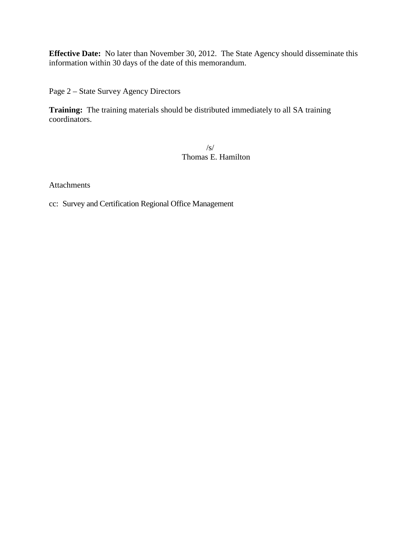**Effective Date:** No later than November 30, 2012. The State Agency should disseminate this information within 30 days of the date of this memorandum.

Page 2 – State Survey Agency Directors

**Training:** The training materials should be distributed immediately to all SA training coordinators.

> /s/ Thomas E. Hamilton

Attachments

cc: Survey and Certification Regional Office Management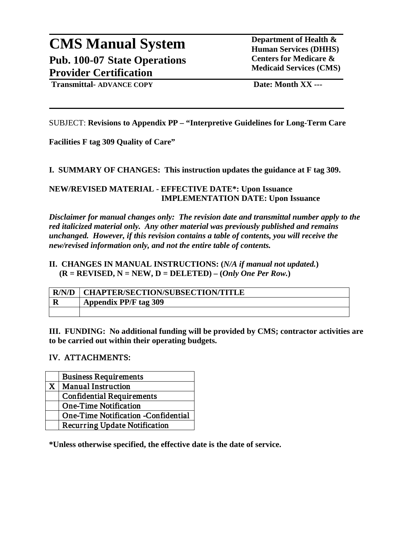#### **CMS Manual System Department of Health &** <br> **Department of Health &** <br> **Department of Health & Pub. 100-07 State Operations Provider Certification**

**Human Services (DHHS) Centers for Medicare & Medicaid Services (CMS)**

**Transmittal- ADVANCE COPY Date: Month XX ---**

SUBJECT: **Revisions to Appendix PP – "Interpretive Guidelines for Long-Term Care** 

**Facilities F tag 309 Quality of Care"**

**I. SUMMARY OF CHANGES: This instruction updates the guidance at F tag 309.**

**NEW/REVISED MATERIAL - EFFECTIVE DATE\*: Upon Issuance IMPLEMENTATION DATE: Upon Issuance**

*Disclaimer for manual changes only: The revision date and transmittal number apply to the red italicized material only. Any other material was previously published and remains unchanged. However, if this revision contains a table of contents, you will receive the new/revised information only, and not the entire table of contents.*

#### **II. CHANGES IN MANUAL INSTRUCTIONS: (***N/A if manual not updated.***)**  $(R = REVISED, N = NEW, D = DELETED) - (Only One Per Row.)$

| R/N/D | <b>CHAPTER/SECTION/SUBSECTION/TITLE</b> |
|-------|-----------------------------------------|
|       | <b>Appendix PP/F tag 309</b>            |
|       |                                         |

**III. FUNDING: No additional funding will be provided by CMS; contractor activities are to be carried out within their operating budgets.** 

#### IV. ATTACHMENTS:

|   | <b>Business Requirements</b>               |
|---|--------------------------------------------|
| X | <b>Manual Instruction</b>                  |
|   | <b>Confidential Requirements</b>           |
|   | <b>One-Time Notification</b>               |
|   | <b>One-Time Notification -Confidential</b> |
|   | <b>Recurring Update Notification</b>       |

**\*Unless otherwise specified, the effective date is the date of service.**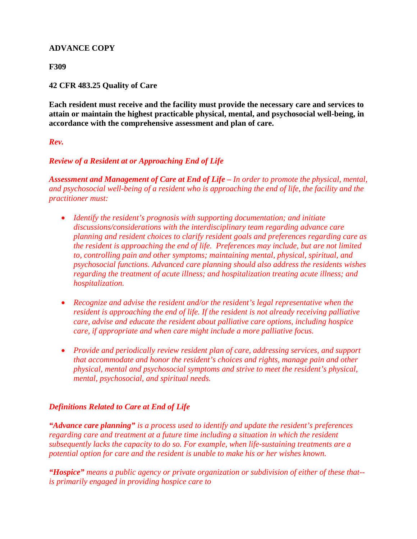#### **ADVANCE COPY**

#### **F309**

#### **42 CFR 483.25 Quality of Care**

**Each resident must receive and the facility must provide the necessary care and services to attain or maintain the highest practicable physical, mental, and psychosocial well-being, in accordance with the comprehensive assessment and plan of care.**

#### *Rev.*

#### *Review of a Resident at or Approaching End of Life*

*Assessment and Management of Care at End of Life – In order to promote the physical, mental, and psychosocial well-being of a resident who is approaching the end of life, the facility and the practitioner must:*

- *Identify the resident's prognosis with supporting documentation; and initiate discussions/considerations with the interdisciplinary team regarding advance care planning and resident choices to clarify resident goals and preferences regarding care as the resident is approaching the end of life. Preferences may include, but are not limited to, controlling pain and other symptoms; maintaining mental, physical, spiritual, and psychosocial functions. Advanced care planning should also address the residents wishes regarding the treatment of acute illness; and hospitalization treating acute illness; and hospitalization.*
- *Recognize and advise the resident and/or the resident's legal representative when the resident is approaching the end of life. If the resident is not already receiving palliative care, advise and educate the resident about palliative care options, including hospice care, if appropriate and when care might include a more palliative focus.*
- *Provide and periodically review resident plan of care, addressing services, and support that accommodate and honor the resident's choices and rights, manage pain and other physical, mental and psychosocial symptoms and strive to meet the resident's physical, mental, psychosocial, and spiritual needs.*

#### *Definitions Related to Care at End of Life*

*"Advance care planning" is a process used to identify and update the resident's preferences regarding care and treatment at a future time including a situation in which the resident subsequently lacks the capacity to do so. For example, when life-sustaining treatments are a potential option for care and the resident is unable to make his or her wishes known.*

*"Hospice" means a public agency or private organization or subdivision of either of these that- is primarily engaged in providing hospice care to*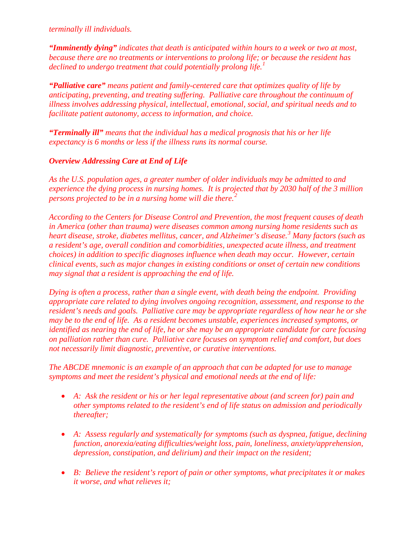*terminally ill individuals.*

*"Imminently dying" indicates that death is anticipated within hours to a week or two at most, because there are no treatments or interventions to prolong life; or because the resident has declined to undergo treatment that could potentially prolong life.[1](#page-20-0)*

*"Palliative care" means patient and family-centered care that optimizes quality of life by anticipating, preventing, and treating suffering. Palliative care throughout the continuum of illness involves addressing physical, intellectual, emotional, social, and spiritual needs and to facilitate patient autonomy, access to information, and choice.*

*"Terminally ill" means that the individual has a medical prognosis that his or her life expectancy is 6 months or less if the illness runs its normal course.*

#### *Overview Addressing Care at End of Life*

*As the U.S. population ages, a greater number of older individuals may be admitted to and experience the dying process in nursing homes. It is projected that by 2030 half of the 3 million persons projected to be in a nursing home will die there.[2](#page-20-1)*

*According to the Centers for Disease Control and Prevention, the most frequent causes of death in America (other than trauma) were diseases common among nursing home residents such as heart disease, stroke, diabetes mellitus, cancer, and Alzheimer's disease.[3](#page-20-2) Many factors (such as a resident's age, overall condition and comorbidities, unexpected acute illness, and treatment choices) in addition to specific diagnoses influence when death may occur. However, certain clinical events, such as major changes in existing conditions or onset of certain new conditions may signal that a resident is approaching the end of life.* 

*Dying is often a process, rather than a single event, with death being the endpoint. Providing appropriate care related to dying involves ongoing recognition, assessment, and response to the resident's needs and goals. Palliative care may be appropriate regardless of how near he or she may be to the end of life. As a resident becomes unstable, experiences increased symptoms, or identified as nearing the end of life, he or she may be an appropriate candidate for care focusing on palliation rather than cure. Palliative care focuses on symptom relief and comfort, but does not necessarily limit diagnostic, preventive, or curative interventions.* 

*The ABCDE mnemonic is an example of an approach that can be adapted for use to manage symptoms and meet the resident's physical and emotional needs at the end of life:*

- *A: Ask the resident or his or her legal representative about (and screen for) pain and other symptoms related to the resident's end of life status on admission and periodically thereafter;*
- *A: Assess regularly and systematically for symptoms (such as dyspnea, fatigue, declining function, anorexia/eating difficulties/weight loss, pain, loneliness, anxiety/apprehension, depression, constipation, and delirium) and their impact on the resident;*
- *B: Believe the resident's report of pain or other symptoms, what precipitates it or makes it worse, and what relieves it;*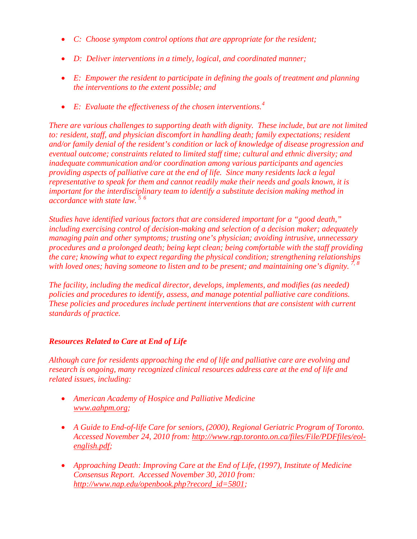- *C: Choose symptom control options that are appropriate for the resident;*
- *D: Deliver interventions in a timely, logical, and coordinated manner;*
- *E: Empower the resident to participate in defining the goals of treatment and planning the interventions to the extent possible; and*
- *E: Evaluate the effectiveness of the chosen interventions.[4](#page-21-0)*

*There are various challenges to supporting death with dignity. These include, but are not limited to: resident, staff, and physician discomfort in handling death; family expectations; resident and/or family denial of the resident's condition or lack of knowledge of disease progression and eventual outcome; constraints related to limited staff time; cultural and ethnic diversity; and inadequate communication and/or coordination among various participants and agencies providing aspects of palliative care at the end of life. Since many residents lack a legal representative to speak for them and cannot readily make their needs and goals known, it is important for the interdisciplinary team to identify a substitute decision making method in accordance with state law. [5](#page-21-1) [6](#page-21-2)*

*Studies have identified various factors that are considered important for a "good death," including exercising control of decision-making and selection of a decision maker; adequately managing pain and other symptoms; trusting one's physician; avoiding intrusive, unnecessary procedures and a prolonged death; being kept clean; being comfortable with the staff providing the care; knowing what to expect regarding the physical condition; strengthening relationships with loved ones; having someone to listen and to be present; and maintaining one's dignity. [7](#page-21-3), [8](#page-21-4)*

*The facility, including the medical director, develops, implements, and modifies (as needed) policies and procedures to identify, assess, and manage potential palliative care conditions. These policies and procedures include pertinent interventions that are consistent with current standards of practice.*

#### *Resources Related to Care at End of Life*

*Although care for residents approaching the end of life and palliative care are evolving and research is ongoing, many recognized clinical resources address care at the end of life and related issues, including:* 

- *American Academy of Hospice and Palliative Medicine [www.aahpm.org;](http://www.aahpm.org/)*
- *A Guide to End-of-life Care for seniors, (2000), Regional Geriatric Program of Toronto. Accessed November 24, 2010 from: [http://www.rgp.toronto.on.ca/files/File/PDFfiles/eol](http://www.rgp.toronto.on.ca/files/File/PDFfiles/eol-english.pdf)[english.pdf;](http://www.rgp.toronto.on.ca/files/File/PDFfiles/eol-english.pdf)*
- *Approaching Death: Improving Care at the End of Life, (1997), Institute of Medicine Consensus Report. Accessed November 30, 2010 from: [http://www.nap.edu/openbook.php?record\\_id=5801;](http://www.nap.edu/openbook.php?record_id=5801)*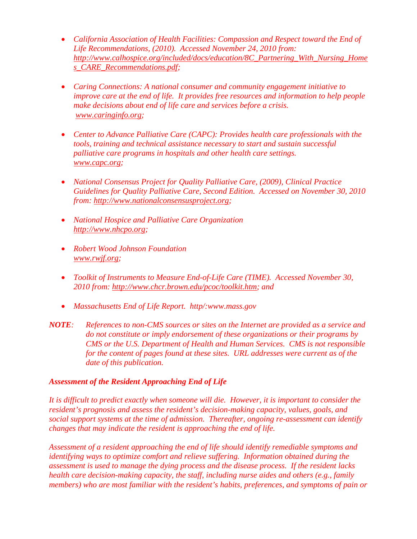- *California Association of Health Facilities: Compassion and Respect toward the End of Life Recommendations, (2010). Accessed November 24, 2010 from: [http://www.calhospice.org/included/docs/education/8C\\_Partnering\\_With\\_Nursing\\_Home](http://www.calhospice.org/included/docs/education/8C_Partnering_With_Nursing_Homes_CARE_Recommendations.pdf) [s\\_CARE\\_Recommendations.pdf;](http://www.calhospice.org/included/docs/education/8C_Partnering_With_Nursing_Homes_CARE_Recommendations.pdf)*
- *Caring Connections: A national consumer and community engagement initiative to improve care at the end of life. It provides free resources and information to help people make decisions about end of life care and services before a crisis. [www.caringinfo.org;](http://www.caringinfo.org/)*
- *Center to Advance Palliative Care (CAPC): Provides health care professionals with the tools, training and technical assistance necessary to start and sustain successful palliative care programs in hospitals and other health care settings. [www.capc.org;](http://www.capc.org/)*
- *National Consensus Project for Quality Palliative Care, (2009), Clinical Practice Guidelines for Quality Palliative Care, Second Edition. Accessed on November 30, 2010 from: [http://www.nationalconsensusproject.org;](http://www.nationalconsensusproject.org/)*
- *National Hospice and Palliative Care Organization [http://www.nhcpo.org;](http://www.nhcpo.org/)*
- *Robert Wood Johnson Foundation [www.rwjf.org;](http://www.rwjf.org/)*
- *Toolkit of Instruments to Measure End-of-Life Care (TIME). Accessed November 30, 2010 from: [http://www.chcr.brown.edu/pcoc/toolkit.htm;](http://www.chcr.brown.edu/pcoc/toolkit.htm) and*
- *Massachusetts End of Life Report. http/:www.mass.gov*
- *NOTE: References to non-CMS sources or sites on the Internet are provided as a service and do not constitute or imply endorsement of these organizations or their programs by CMS or the U.S. Department of Health and Human Services. CMS is not responsible for the content of pages found at these sites. URL addresses were current as of the date of this publication.*

#### *Assessment of the Resident Approaching End of Life*

*It is difficult to predict exactly when someone will die. However, it is important to consider the resident's prognosis and assess the resident's decision-making capacity, values, goals, and social support systems at the time of admission. Thereafter, ongoing re-assessment can identify changes that may indicate the resident is approaching the end of life.* 

*Assessment of a resident approaching the end of life should identify remediable symptoms and identifying ways to optimize comfort and relieve suffering. Information obtained during the assessment is used to manage the dying process and the disease process. If the resident lacks health care decision-making capacity, the staff, including nurse aides and others (e.g., family members) who are most familiar with the resident's habits, preferences, and symptoms of pain or*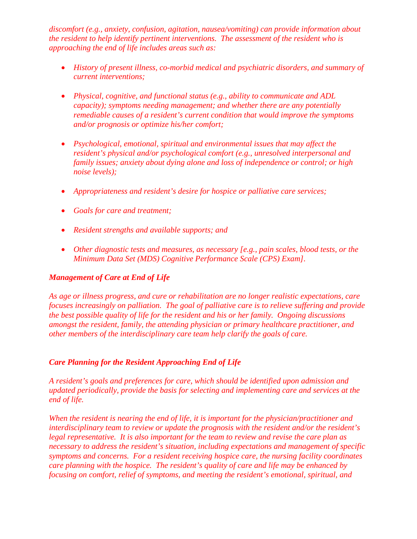*discomfort (e.g., anxiety, confusion, agitation, nausea/vomiting) can provide information about the resident to help identify pertinent interventions. The assessment of the resident who is approaching the end of life includes areas such as:*

- *History of present illness, co-morbid medical and psychiatric disorders, and summary of current interventions;*
- *Physical, cognitive, and functional status (e.g., ability to communicate and ADL capacity); symptoms needing management; and whether there are any potentially remediable causes of a resident's current condition that would improve the symptoms and/or prognosis or optimize his/her comfort;*
- *Psychological, emotional, spiritual and environmental issues that may affect the resident's physical and/or psychological comfort (e.g., unresolved interpersonal and family issues; anxiety about dying alone and loss of independence or control; or high noise levels);*
- *Appropriateness and resident's desire for hospice or palliative care services;*
- *Goals for care and treatment;*
- *Resident strengths and available supports; and*
- *Other diagnostic tests and measures, as necessary [e.g., pain scales, blood tests, or the Minimum Data Set (MDS) Cognitive Performance Scale (CPS) Exam].*

#### *Management of Care at End of Life*

*As age or illness progress, and cure or rehabilitation are no longer realistic expectations, care focuses increasingly on palliation. The goal of palliative care is to relieve suffering and provide the best possible quality of life for the resident and his or her family. Ongoing discussions amongst the resident, family, the attending physician or primary healthcare practitioner, and other members of the interdisciplinary care team help clarify the goals of care.* 

#### *Care Planning for the Resident Approaching End of Life*

*A resident's goals and preferences for care, which should be identified upon admission and updated periodically, provide the basis for selecting and implementing care and services at the end of life.* 

*When the resident is nearing the end of life, it is important for the physician/practitioner and interdisciplinary team to review or update the prognosis with the resident and/or the resident's legal representative. It is also important for the team to review and revise the care plan as necessary to address the resident's situation, including expectations and management of specific symptoms and concerns. For a resident receiving hospice care, the nursing facility coordinates care planning with the hospice. The resident's quality of care and life may be enhanced by focusing on comfort, relief of symptoms, and meeting the resident's emotional, spiritual, and*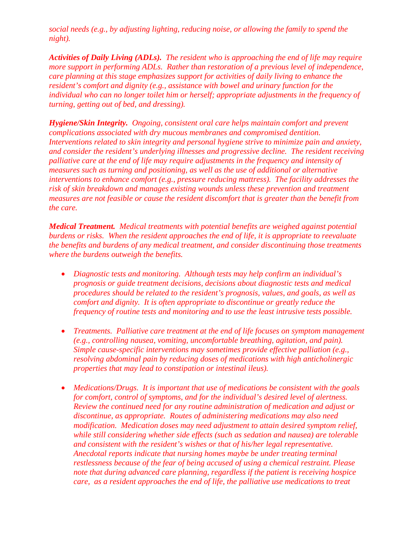*social needs (e.g., by adjusting lighting, reducing noise, or allowing the family to spend the night).*

*Activities of Daily Living (ADLs). The resident who is approaching the end of life may require more support in performing ADLs. Rather than restoration of a previous level of independence, care planning at this stage emphasizes support for activities of daily living to enhance the resident's comfort and dignity (e.g., assistance with bowel and urinary function for the individual who can no longer toilet him or herself; appropriate adjustments in the frequency of turning, getting out of bed, and dressing).*

*Hygiene/Skin Integrity. Ongoing, consistent oral care helps maintain comfort and prevent complications associated with dry mucous membranes and compromised dentition. Interventions related to skin integrity and personal hygiene strive to minimize pain and anxiety, and consider the resident's underlying illnesses and progressive decline. The resident receiving palliative care at the end of life may require adjustments in the frequency and intensity of measures such as turning and positioning, as well as the use of additional or alternative interventions to enhance comfort (e.g., pressure reducing mattress). The facility addresses the risk of skin breakdown and manages existing wounds unless these prevention and treatment measures are not feasible or cause the resident discomfort that is greater than the benefit from the care.*

*Medical Treatment. Medical treatments with potential benefits are weighed against potential burdens or risks. When the resident approaches the end of life, it is appropriate to reevaluate the benefits and burdens of any medical treatment, and consider discontinuing those treatments where the burdens outweigh the benefits.*

- *Diagnostic tests and monitoring. Although tests may help confirm an individual's prognosis or guide treatment decisions, decisions about diagnostic tests and medical procedures should be related to the resident's prognosis, values, and goals, as well as comfort and dignity. It is often appropriate to discontinue or greatly reduce the frequency of routine tests and monitoring and to use the least intrusive tests possible.*
- *Treatments. Palliative care treatment at the end of life focuses on symptom management (e.g., controlling nausea, vomiting, uncomfortable breathing, agitation, and pain). Simple cause-specific interventions may sometimes provide effective palliation (e.g., resolving abdominal pain by reducing doses of medications with high anticholinergic properties that may lead to constipation or intestinal ileus).*
- *Medications/Drugs. It is important that use of medications be consistent with the goals for comfort, control of symptoms, and for the individual's desired level of alertness. Review the continued need for any routine administration of medication and adjust or discontinue, as appropriate. Routes of administering medications may also need modification. Medication doses may need adjustment to attain desired symptom relief, while still considering whether side effects (such as sedation and nausea) are tolerable and consistent with the resident's wishes or that of his/her legal representative. Anecdotal reports indicate that nursing homes maybe be under treating terminal restlessness because of the fear of being accused of using a chemical restraint. Please note that during advanced care planning, regardless if the patient is receiving hospice care, as a resident approaches the end of life, the palliative use medications to treat*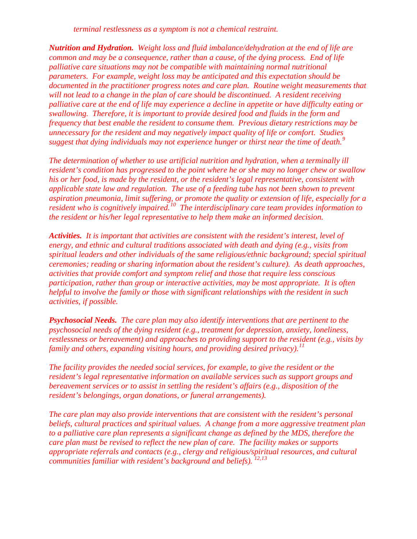*terminal restlessness as a symptom is not a chemical restraint.* 

*Nutrition and Hydration. Weight loss and fluid imbalance/dehydration at the end of life are common and may be a consequence, rather than a cause, of the dying process. End of life palliative care situations may not be compatible with maintaining normal nutritional parameters. For example, weight loss may be anticipated and this expectation should be documented in the practitioner progress notes and care plan. Routine weight measurements that will not lead to a change in the plan of care should be discontinued. A resident receiving palliative care at the end of life may experience a decline in appetite or have difficulty eating or swallowing. Therefore, it is important to provide desired food and fluids in the form and frequency that best enable the resident to consume them. Previous dietary restrictions may be unnecessary for the resident and may negatively impact quality of life or comfort. Studies suggest that dying individuals may not experience hunger or thirst near the time of death.[9](#page-21-5)*

*The determination of whether to use artificial nutrition and hydration, when a terminally ill resident's condition has progressed to the point where he or she may no longer chew or swallow his or her food, is made by the resident, or the resident's legal representative, consistent with applicable state law and regulation. The use of a feeding tube has not been shown to prevent aspiration pneumonia, limit suffering, or promote the quality or extension of life, especially for a resident who is cognitively impaired.[10](#page-21-6) The interdisciplinary care team provides information to the resident or his/her legal representative to help them make an informed decision.*

*Activities. It is important that activities are consistent with the resident's interest, level of energy, and ethnic and cultural traditions associated with death and dying (e.g., visits from spiritual leaders and other individuals of the same religious/ethnic background; special spiritual ceremonies; reading or sharing information about the resident's culture). As death approaches, activities that provide comfort and symptom relief and those that require less conscious participation, rather than group or interactive activities, may be most appropriate. It is often helpful to involve the family or those with significant relationships with the resident in such activities, if possible.* 

*Psychosocial Needs. The care plan may also identify interventions that are pertinent to the psychosocial needs of the dying resident (e.g., treatment for depression, anxiety, loneliness, restlessness or bereavement) and approaches to providing support to the resident (e.g., visits by family and others, expanding visiting hours, and providing desired privacy).[11](#page-21-7)*

*The facility provides the needed social services, for example, to give the resident or the resident's legal representative information on available services such as support groups and bereavement services or to assist in settling the resident's affairs (e.g., disposition of the resident's belongings, organ donations, or funeral arrangements).*

*The care plan may also provide interventions that are consistent with the resident's personal beliefs, cultural practices and spiritual values. A change from a more aggressive treatment plan to a palliative care plan represents a significant change as defined by the MDS, therefore the care plan must be revised to reflect the new plan of care. The facility makes or supports appropriate referrals and contacts (e.g., clergy and religious/spiritual resources, and cultural communities familiar with resident's background and beliefs). [12,](#page-21-8)[13](#page-21-9)*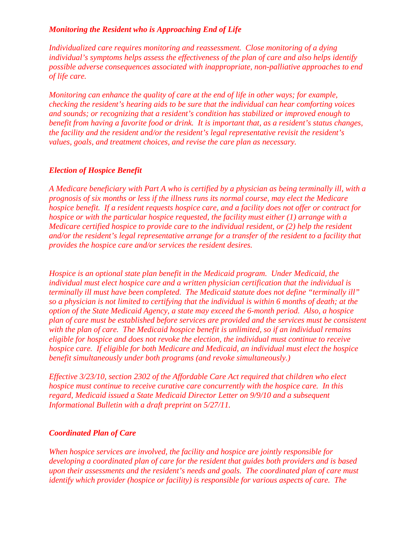#### *Monitoring the Resident who is Approaching End of Life*

*Individualized care requires monitoring and reassessment. Close monitoring of a dying individual's symptoms helps assess the effectiveness of the plan of care and also helps identify possible adverse consequences associated with inappropriate, non-palliative approaches to end of life care.* 

*Monitoring can enhance the quality of care at the end of life in other ways; for example, checking the resident's hearing aids to be sure that the individual can hear comforting voices and sounds; or recognizing that a resident's condition has stabilized or improved enough to benefit from having a favorite food or drink. It is important that, as a resident's status changes, the facility and the resident and/or the resident's legal representative revisit the resident's values, goals, and treatment choices, and revise the care plan as necessary.* 

#### *Election of Hospice Benefit*

*A Medicare beneficiary with Part A who is certified by a physician as being terminally ill, with a prognosis of six months or less if the illness runs its normal course, may elect the Medicare hospice benefit. If a resident requests hospice care, and a facility does not offer or contract for hospice or with the particular hospice requested, the facility must either (1) arrange with a Medicare certified hospice to provide care to the individual resident, or (2) help the resident and/or the resident's legal representative arrange for a transfer of the resident to a facility that provides the hospice care and/or services the resident desires.*

*Hospice is an optional state plan benefit in the Medicaid program. Under Medicaid, the individual must elect hospice care and a written physician certification that the individual is terminally ill must have been completed. The Medicaid statute does not define "terminally ill" so a physician is not limited to certifying that the individual is within 6 months of death; at the option of the State Medicaid Agency, a state may exceed the 6-month period. Also, a hospice plan of care must be established before services are provided and the services must be consistent with the plan of care. The Medicaid hospice benefit is unlimited, so if an individual remains eligible for hospice and does not revoke the election, the individual must continue to receive hospice care. If eligible for both Medicare and Medicaid, an individual must elect the hospice benefit simultaneously under both programs (and revoke simultaneously.)*

*Effective 3/23/10, section 2302 of the Affordable Care Act required that children who elect hospice must continue to receive curative care concurrently with the hospice care. In this regard, Medicaid issued a State Medicaid Director Letter on 9/9/10 and a subsequent Informational Bulletin with a draft preprint on 5/27/11.*

#### *Coordinated Plan of Care*

*When hospice services are involved, the facility and hospice are jointly responsible for developing a coordinated plan of care for the resident that guides both providers and is based upon their assessments and the resident's needs and goals. The coordinated plan of care must identify which provider (hospice or facility) is responsible for various aspects of care. The*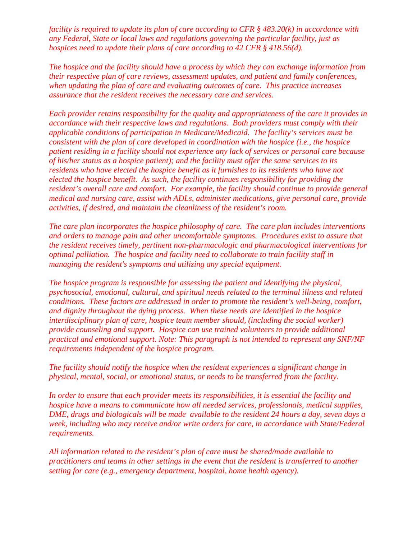*facility is required to update its plan of care according to CFR § 483.20(k) in accordance with any Federal, State or local laws and regulations governing the particular facility, just as hospices need to update their plans of care according to 42 CFR § 418.56(d).*

*The hospice and the facility should have a process by which they can exchange information from their respective plan of care reviews, assessment updates, and patient and family conferences, when updating the plan of care and evaluating outcomes of care. This practice increases assurance that the resident receives the necessary care and services.*

*Each provider retains responsibility for the quality and appropriateness of the care it provides in accordance with their respective laws and regulations. Both providers must comply with their applicable conditions of participation in Medicare/Medicaid. The facility's services must be consistent with the plan of care developed in coordination with the hospice (i.e., the hospice patient residing in a facility should not experience any lack of services or personal care because of his/her status as a hospice patient); and the facility must offer the same services to its residents who have elected the hospice benefit as it furnishes to its residents who have not elected the hospice benefit. As such, the facility continues responsibility for providing the resident's overall care and comfort. For example, the facility should continue to provide general medical and nursing care, assist with ADLs, administer medications, give personal care, provide activities, if desired, and maintain the cleanliness of the resident's room.*

*The care plan incorporates the hospice philosophy of care. The care plan includes interventions and orders to manage pain and other uncomfortable symptoms. Procedures exist to assure that the resident receives timely, pertinent non-pharmacologic and pharmacological interventions for optimal palliation. The hospice and facility need to collaborate to train facility staff in managing the resident's symptoms and utilizing any special equipment.* 

*The hospice program is responsible for assessing the patient and identifying the physical, psychosocial, emotional, cultural, and spiritual needs related to the terminal illness and related conditions. These factors are addressed in order to promote the resident's well-being, comfort, and dignity throughout the dying process. When these needs are identified in the hospice interdisciplinary plan of care, hospice team member should, (including the social worker) provide counseling and support. Hospice can use trained volunteers to provide additional practical and emotional support. Note: This paragraph is not intended to represent any SNF/NF requirements independent of the hospice program.* 

*The facility should notify the hospice when the resident experiences a significant change in physical, mental, social, or emotional status, or needs to be transferred from the facility.* 

*In order to ensure that each provider meets its responsibilities, it is essential the facility and hospice have a means to communicate how all needed services, professionals, medical supplies, DME, drugs and biologicals will be made available to the resident 24 hours a day, seven days a week, including who may receive and/or write orders for care, in accordance with State/Federal requirements.* 

*All information related to the resident's plan of care must be shared/made available to practitioners and teams in other settings in the event that the resident is transferred to another setting for care (e.g., emergency department, hospital, home health agency).*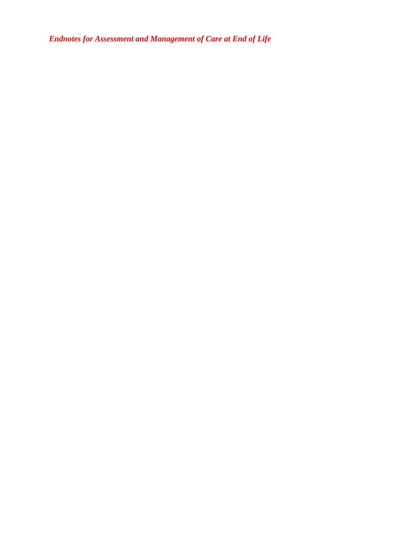*Endnotes for Assessment and Management of Care at End of Life*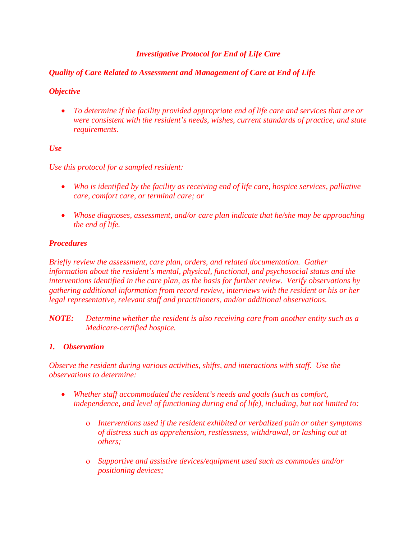#### *Investigative Protocol for End of Life Care*

#### *Quality of Care Related to Assessment and Management of Care at End of Life*

#### *Objective*

• *To determine if the facility provided appropriate end of life care and services that are or were consistent with the resident's needs, wishes, current standards of practice, and state requirements.*

#### *Use*

*Use this protocol for a sampled resident:*

- *Who is identified by the facility as receiving end of life care, hospice services, palliative care, comfort care, or terminal care; or*
- *Whose diagnoses, assessment, and/or care plan indicate that he/she may be approaching the end of life.*

#### *Procedures*

*Briefly review the assessment, care plan, orders, and related documentation. Gather information about the resident's mental, physical, functional, and psychosocial status and the interventions identified in the care plan, as the basis for further review. Verify observations by gathering additional information from record review, interviews with the resident or his or her legal representative, relevant staff and practitioners, and/or additional observations.*

*NOTE: Determine whether the resident is also receiving care from another entity such as a Medicare-certified hospice.* 

#### *1. Observation*

*Observe the resident during various activities, shifts, and interactions with staff. Use the observations to determine:*

- *Whether staff accommodated the resident's needs and goals (such as comfort, independence, and level of functioning during end of life), including, but not limited to:*
	- ο *Interventions used if the resident exhibited or verbalized pain or other symptoms of distress such as apprehension, restlessness, withdrawal, or lashing out at others;*
	- ο *Supportive and assistive devices/equipment used such as commodes and/or positioning devices;*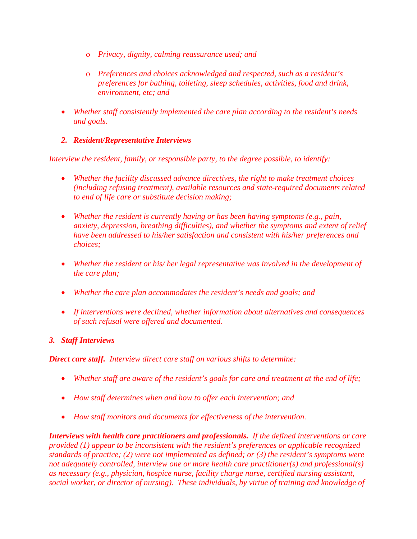- ο *Privacy, dignity, calming reassurance used; and*
- ο *Preferences and choices acknowledged and respected, such as a resident's preferences for bathing, toileting, sleep schedules, activities, food and drink, environment, etc; and*
- *Whether staff consistently implemented the care plan according to the resident's needs and goals.*

#### *2. Resident/Representative Interviews*

*Interview the resident, family, or responsible party, to the degree possible, to identify:*

- *Whether the facility discussed advance directives, the right to make treatment choices (including refusing treatment), available resources and state-required documents related to end of life care or substitute decision making;*
- *Whether the resident is currently having or has been having symptoms (e.g., pain, anxiety, depression, breathing difficulties), and whether the symptoms and extent of relief have been addressed to his/her satisfaction and consistent with his/her preferences and choices;*
- *Whether the resident or his/ her legal representative was involved in the development of the care plan;*
- *Whether the care plan accommodates the resident's needs and goals; and*
- *If interventions were declined, whether information about alternatives and consequences of such refusal were offered and documented.*

#### *3. Staff Interviews*

*Direct care staff. Interview direct care staff on various shifts to determine:* 

- *Whether staff are aware of the resident's goals for care and treatment at the end of life;*
- *How staff determines when and how to offer each intervention; and*
- *How staff monitors and documents for effectiveness of the intervention.*

*Interviews with health care practitioners and professionals. If the defined interventions or care provided (1) appear to be inconsistent with the resident's preferences or applicable recognized standards of practice; (2) were not implemented as defined; or (3) the resident's symptoms were not adequately controlled, interview one or more health care practitioner(s) and professional(s) as necessary (e.g., physician, hospice nurse, facility charge nurse, certified nursing assistant, social worker, or director of nursing). These individuals, by virtue of training and knowledge of*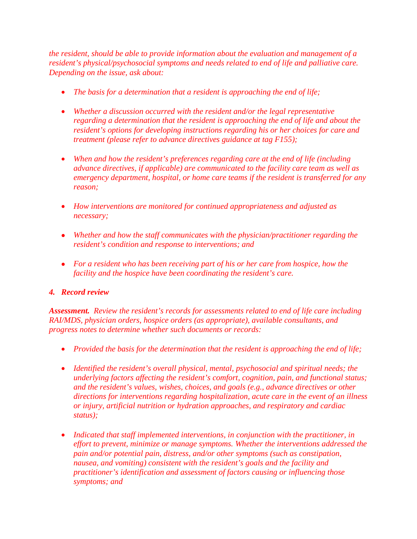*the resident, should be able to provide information about the evaluation and management of a resident's physical/psychosocial symptoms and needs related to end of life and palliative care. Depending on the issue, ask about:*

- *The basis for a determination that a resident is approaching the end of life;*
- *Whether a discussion occurred with the resident and/or the legal representative regarding a determination that the resident is approaching the end of life and about the resident's options for developing instructions regarding his or her choices for care and treatment (please refer to advance directives guidance at tag F155);*
- *When and how the resident's preferences regarding care at the end of life (including advance directives, if applicable) are communicated to the facility care team as well as emergency department, hospital, or home care teams if the resident is transferred for any reason;*
- *How interventions are monitored for continued appropriateness and adjusted as necessary;*
- *Whether and how the staff communicates with the physician/practitioner regarding the resident's condition and response to interventions; and*
- *For a resident who has been receiving part of his or her care from hospice, how the facility and the hospice have been coordinating the resident's care.*

#### *4. Record review*

*Assessment. Review the resident's records for assessments related to end of life care including RAI/MDS, physician orders, hospice orders (as appropriate), available consultants, and progress notes to determine whether such documents or records:*

- *Provided the basis for the determination that the resident is approaching the end of life;*
- *Identified the resident's overall physical, mental, psychosocial and spiritual needs; the underlying factors affecting the resident's comfort, cognition, pain, and functional status; and the resident's values, wishes, choices, and goals (e.g., advance directives or other directions for interventions regarding hospitalization, acute care in the event of an illness or injury, artificial nutrition or hydration approaches, and respiratory and cardiac status);*
- *Indicated that staff implemented interventions, in conjunction with the practitioner, in effort to prevent, minimize or manage symptoms. Whether the interventions addressed the pain and/or potential pain, distress, and/or other symptoms (such as constipation, nausea, and vomiting) consistent with the resident's goals and the facility and practitioner's identification and assessment of factors causing or influencing those symptoms; and*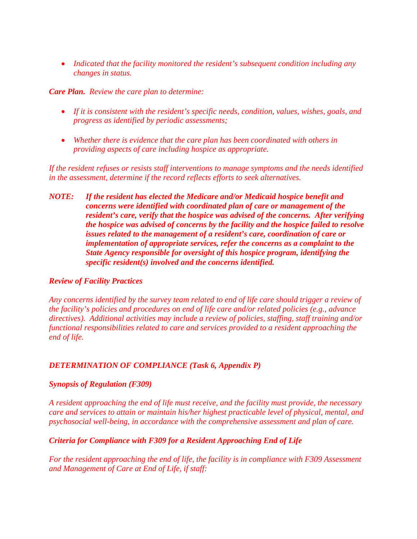• *Indicated that the facility monitored the resident's subsequent condition including any changes in status.*

#### *Care Plan. Review the care plan to determine:*

- *If it is consistent with the resident's specific needs, condition, values, wishes, goals, and progress as identified by periodic assessments;*
- *Whether there is evidence that the care plan has been coordinated with others in providing aspects of care including hospice as appropriate.*

*If the resident refuses or resists staff interventions to manage symptoms and the needs identified in the assessment, determine if the record reflects efforts to seek alternatives.* 

*NOTE: If the resident has elected the Medicare and/or Medicaid hospice benefit and concerns were identified with coordinated plan of care or management of the resident's care, verify that the hospice was advised of the concerns. After verifying the hospice was advised of concerns by the facility and the hospice failed to resolve issues related to the management of a resident's care, coordination of care or implementation of appropriate services, refer the concerns as a complaint to the State Agency responsible for oversight of this hospice program, identifying the specific resident(s) involved and the concerns identified.*

#### *Review of Facility Practices*

*Any concerns identified by the survey team related to end of life care should trigger a review of the facility's policies and procedures on end of life care and/or related policies (e.g., advance directives). Additional activities may include a review of policies, staffing, staff training and/or functional responsibilities related to care and services provided to a resident approaching the end of life.*

#### *DETERMINATION OF COMPLIANCE (Task 6, Appendix P)*

#### *Synopsis of Regulation (F309)*

*A resident approaching the end of life must receive, and the facility must provide, the necessary care and services to attain or maintain his/her highest practicable level of physical, mental, and psychosocial well-being, in accordance with the comprehensive assessment and plan of care.*

#### *Criteria for Compliance with F309 for a Resident Approaching End of Life*

*For the resident approaching the end of life, the facility is in compliance with F309 Assessment and Management of Care at End of Life, if staff:*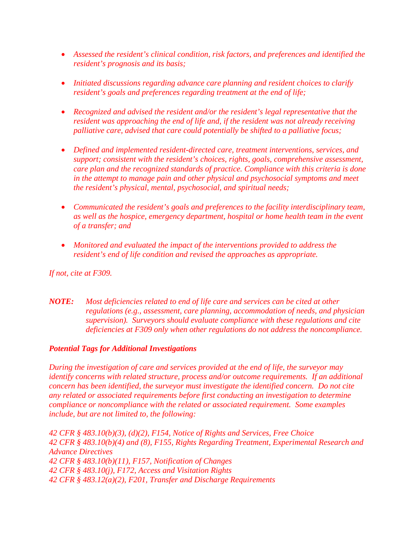- *Assessed the resident's clinical condition, risk factors, and preferences and identified the resident's prognosis and its basis;*
- *Initiated discussions regarding advance care planning and resident choices to clarify resident's goals and preferences regarding treatment at the end of life;*
- *Recognized and advised the resident and/or the resident's legal representative that the resident was approaching the end of life and, if the resident was not already receiving palliative care, advised that care could potentially be shifted to a palliative focus;*
- *Defined and implemented resident-directed care, treatment interventions, services, and support; consistent with the resident's choices, rights, goals, comprehensive assessment, care plan and the recognized standards of practice. Compliance with this criteria is done in the attempt to manage pain and other physical and psychosocial symptoms and meet the resident's physical, mental, psychosocial, and spiritual needs;*
- *Communicated the resident's goals and preferences to the facility interdisciplinary team, as well as the hospice, emergency department, hospital or home health team in the event of a transfer; and*
- *Monitored and evaluated the impact of the interventions provided to address the resident's end of life condition and revised the approaches as appropriate.*

*If not, cite at F309.*

*NOTE: Most deficiencies related to end of life care and services can be cited at other regulations (e.g., assessment, care planning, accommodation of needs, and physician supervision). Surveyors should evaluate compliance with these regulations and cite deficiencies at F309 only when other regulations do not address the noncompliance.* 

#### *Potential Tags for Additional Investigations*

*During the investigation of care and services provided at the end of life, the surveyor may identify concerns with related structure, process and/or outcome requirements. If an additional concern has been identified, the surveyor must investigate the identified concern. Do not cite any related or associated requirements before first conducting an investigation to determine compliance or noncompliance with the related or associated requirement. Some examples include, but are not limited to, the following:*

*42 CFR § 483.10(b)(3), (d)(2), F154, Notice of Rights and Services, Free Choice 42 CFR § 483.10(b)(4) and (8), F155, Rights Regarding Treatment, Experimental Research and Advance Directives 42 CFR § 483.10(b)(11), F157, Notification of Changes 42 CFR § 483.10(j), F172, Access and Visitation Rights 42 CFR § 483.12(a)(2), F201, Transfer and Discharge Requirements*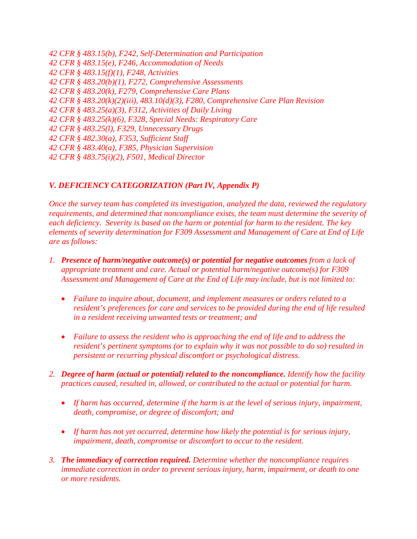*42 CFR § 483.15(b), F242, Self-Determination and Participation 42 CFR § 483.15(e), F246, Accommodation of Needs 42 CFR § 483.15(f)(1), F248, Activities 42 CFR § 483.20(b)(1), F272, Comprehensive Assessments 42 CFR § 483.20(k), F279, Comprehensive Care Plans 42 CFR § 483.20(k)(2)(iii), 483.10(d)(3), F280, Comprehensive Care Plan Revision 42 CFR § 483.25(a)(3), F312, Activities of Daily Living 42 CFR § 483.25(k)(6), F328, Special Needs: Respiratory Care 42 CFR § 483.25(l), F329, Unnecessary Drugs 42 CFR § 482.30(a), F353, Sufficient Staff 42 CFR § 483.40(a), F385, Physician Supervision 42 CFR § 483.75(i)(2), F501, Medical Director*

#### *V. DEFICIENCY CATEGORIZATION (Part IV, Appendix P)*

*Once the survey team has completed its investigation, analyzed the data, reviewed the regulatory requirements, and determined that noncompliance exists, the team must determine the severity of each deficiency. Severity is based on the harm or potential for harm to the resident. The key elements of severity determination for F309 Assessment and Management of Care at End of Life are as follows:*

- *1. Presence of harm/negative outcome(s) or potential for negative outcomes from a lack of appropriate treatment and care. Actual or potential harm/negative outcome(s) for F309 Assessment and Management of Care at the End of Life may include, but is not limited to:*
	- *Failure to inquire about, document, and implement measures or orders related to a resident's preferences for care and services to be provided during the end of life resulted in a resident receiving unwanted tests or treatment; and*
	- *Failure to assess the resident who is approaching the end of life and to address the resident's pertinent symptoms (or to explain why it was not possible to do so) resulted in persistent or recurring physical discomfort or psychological distress.*
- *2. Degree of harm (actual or potential) related to the noncompliance. Identify how the facility practices caused, resulted in, allowed, or contributed to the actual or potential for harm.* 
	- *If harm has occurred, determine if the harm is at the level of serious injury, impairment, death, compromise, or degree of discomfort; and*
	- *If harm has not yet occurred, determine how likely the potential is for serious injury, impairment, death, compromise or discomfort to occur to the resident.*
- *3. The immediacy of correction required. Determine whether the noncompliance requires immediate correction in order to prevent serious injury, harm, impairment, or death to one or more residents.*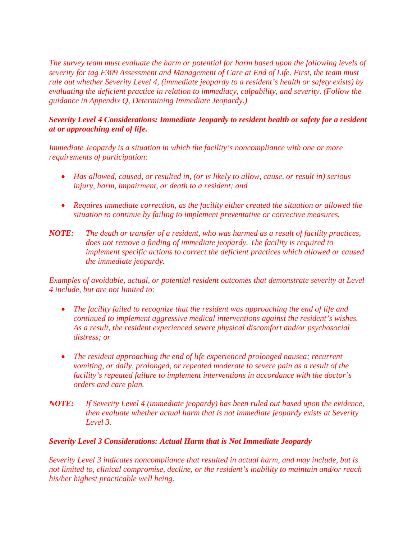*The survey team must evaluate the harm or potential for harm based upon the following levels of severity for tag F309 Assessment and Management of Care at End of Life. First, the team must rule out whether Severity Level 4, (immediate jeopardy to a resident's health or safety exists) by evaluating the deficient practice in relation to immediacy, culpability, and severity. (Follow the guidance in Appendix Q, Determining Immediate Jeopardy.)* 

#### *Severity Level 4 Considerations: Immediate Jeopardy to resident health or safety for a resident at or approaching end of life.*

*Immediate Jeopardy is a situation in which the facility's noncompliance with one or more requirements of participation:*

- *Has allowed, caused, or resulted in, (or is likely to allow, cause, or result in) serious injury, harm, impairment, or death to a resident; and*
- *Requires immediate correction, as the facility either created the situation or allowed the situation to continue by failing to implement preventative or corrective measures.*
- *NOTE: The death or transfer of a resident, who was harmed as a result of facility practices, does not remove a finding of immediate jeopardy. The facility is required to implement specific actions to correct the deficient practices which allowed or caused the immediate jeopardy.*

*Examples of avoidable, actual, or potential resident outcomes that demonstrate severity at Level 4 include, but are not limited to:*

- *The facility failed to recognize that the resident was approaching the end of life and continued to implement aggressive medical interventions against the resident's wishes. As a result, the resident experienced severe physical discomfort and/or psychosocial distress; or*
- The resident approaching the end of life experienced prolonged nausea; recurrent *vomiting, or daily, prolonged, or repeated moderate to severe pain as a result of the facility's repeated failure to implement interventions in accordance with the doctor's orders and care plan.*
- *NOTE: If Severity Level 4 (immediate jeopardy) has been ruled out based upon the evidence, then evaluate whether actual harm that is not immediate jeopardy exists at Severity Level 3.*

#### *Severity Level 3 Considerations: Actual Harm that is Not Immediate Jeopardy*

*Severity Level 3 indicates noncompliance that resulted in actual harm, and may include, but is not limited to, clinical compromise, decline, or the resident's inability to maintain and/or reach his/her highest practicable well being.*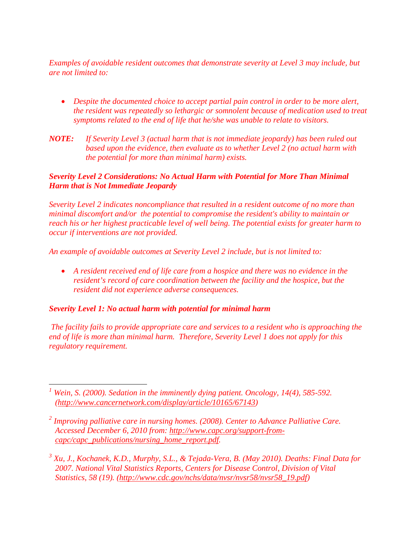*Examples of avoidable resident outcomes that demonstrate severity at Level 3 may include, but are not limited to:* 

- *Despite the documented choice to accept partial pain control in order to be more alert, the resident was repeatedly so lethargic or somnolent because of medication used to treat symptoms related to the end of life that he/she was unable to relate to visitors.*
- *NOTE: If Severity Level 3 (actual harm that is not immediate jeopardy) has been ruled out based upon the evidence, then evaluate as to whether Level 2 (no actual harm with the potential for more than minimal harm) exists.*

#### *Severity Level 2 Considerations: No Actual Harm with Potential for More Than Minimal Harm that is Not Immediate Jeopardy*

*Severity Level 2 indicates noncompliance that resulted in a resident outcome of no more than minimal discomfort and/or the potential to compromise the resident's ability to maintain or reach his or her highest practicable level of well being. The potential exists for greater harm to occur if interventions are not provided.* 

*An example of avoidable outcomes at Severity Level 2 include, but is not limited to:*

• *A resident received end of life care from a hospice and there was no evidence in the resident's record of care coordination between the facility and the hospice, but the resident did not experience adverse consequences.*

#### *Severity Level 1: No actual harm with potential for minimal harm*

*The facility fails to provide appropriate care and services to a resident who is approaching the end of life is more than minimal harm. Therefore, Severity Level 1 does not apply for this regulatory requirement.* 

<span id="page-20-0"></span>*<sup>1</sup> Wein, S. (2000). Sedation in the imminently dying patient. Oncology, 14(4), 585-592. [\(http://www.cancernetwork.com/display/article/10165/67143\)](http://www.cancernetwork.com/display/article/10165/67143)*

<span id="page-20-1"></span>*<sup>2</sup> Improving palliative care in nursing homes. (2008). Center to Advance Palliative Care. Accessed December 6, 2010 from: [http://www.capc.org/support-from](http://www.capc.org/support-from-capc/capc_publications/nursing_home_report.pdf)[capc/capc\\_publications/nursing\\_home\\_report.pdf.](http://www.capc.org/support-from-capc/capc_publications/nursing_home_report.pdf)*

<span id="page-20-2"></span>*<sup>3</sup> Xu, J., Kochanek, K.D., Murphy, S.L., & Tejada-Vera, B. (May 2010). Deaths: Final Data for 2007. National Vital Statistics Reports, Centers for Disease Control, Division of Vital Statistics, 58 (19). [\(http://www.cdc.gov/nchs/data/nvsr/nvsr58/nvsr58\\_19.pdf\)](http://www.cdc.gov/nchs/data/nvsr/nvsr58/nvsr58_19.pdf)*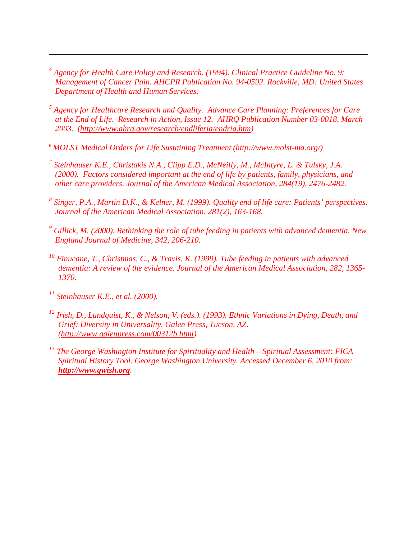- <span id="page-21-0"></span>*<sup>4</sup> Agency for Health Care Policy and Research. (1994). Clinical Practice Guideline No. 9: Management of Cancer Pain. AHCPR Publication No. 94-0592. Rockville, MD: United States Department of Health and Human Services.*
- <span id="page-21-1"></span>*<sup>5</sup> Agency for Healthcare Research and Quality. Advance Care Planning: Preferences for Care at the End of Life. Research in Action, Issue 12. AHRQ Publication Number 03-0018, March 2003. [\(http://www.ahrq.gov/research/endliferia/endria.htm\)](http://www.ahrq.gov/research/endliferia/endria.htm)*
- <span id="page-21-2"></span><sup>6</sup> *MOLST Medical Orders for Life Sustaining Treatment (http://www.molst-ma.org/)*
- <span id="page-21-3"></span>*<sup>7</sup> Steinhauser K.E., Christakis N.A., Clipp E.D., McNeilly, M., McIntyre, L. & Tulsky, J.A. (2000). Factors considered important at the end of life by patients, family, physicians, and other care providers. Journal of the American Medical Association, 284(19), 2476-2482.*
- <span id="page-21-4"></span>*<sup>8</sup> Singer, P.A., Martin D.K., & Kelner, M. (1999). Quality end of life care: Patients' perspectives. Journal of the American Medical Association, 281(2), 163-168.*
- <span id="page-21-5"></span>*<sup>9</sup> Gillick, M. (2000). Rethinking the role of tube feeding in patients with advanced dementia. New England Journal of Medicine, 342, 206-210.*
- <span id="page-21-6"></span>*<sup>10</sup> Finucane, T., Christmas, C., & Travis, K. (1999). Tube feeding in patients with advanced dementia: A review of the evidence. Journal of the American Medical Association, 282, 1365- 1370.*
- <span id="page-21-7"></span>*<sup>11</sup> Steinhauser K.E., et al. (2000).*

 $\overline{a}$ 

- <span id="page-21-8"></span>*<sup>12</sup> Irish, D., Lundquist, K., & Nelson, V. (eds.). (1993). Ethnic Variations in Dying, Death, and Grief: Diversity in Universality. Galen Press, Tucson, AZ. [\(http://www.galenpress.com/00312b.html\)](http://www.galenpress.com/00312b.html)*
- <span id="page-21-9"></span>*<sup>13</sup> The George Washington Institute for Spirituality and Health – Spiritual Assessment: FICA Spiritual History Tool. George Washington University. Accessed December 6, 2010 from: [http://www.gwish.org](http://www.gwish.org/).*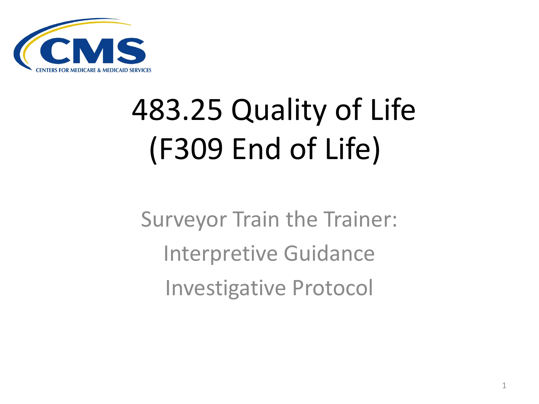

# 483.25 Quality of Life (F309 End of Life)

Surveyor Train the Trainer: Interpretive Guidance Investigative Protocol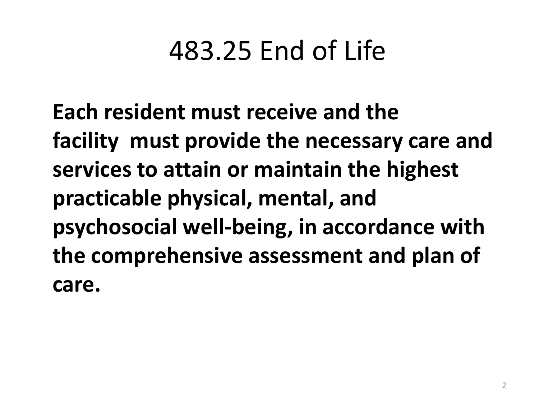### 483.25 End of Life

**Each resident must receive and the facility must provide the necessary care and services to attain or maintain the highest practicable physical, mental, and psychosocial well-being, in accordance with the comprehensive assessment and plan of care.**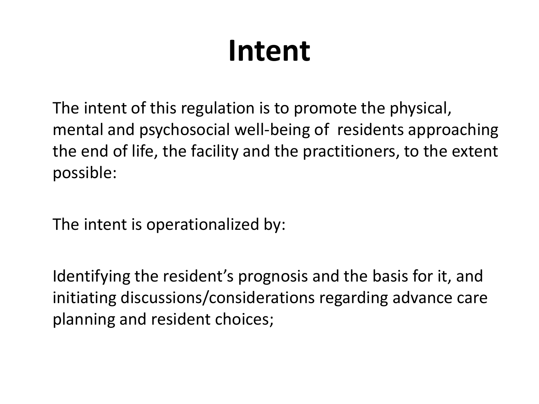### **Intent**

The intent of this regulation is to promote the physical, mental and psychosocial well-being of residents approaching the end of life, the facility and the practitioners, to the extent possible:

The intent is operationalized by:

Identifying the resident's prognosis and the basis for it, and initiating discussions/considerations regarding advance care planning and resident choices;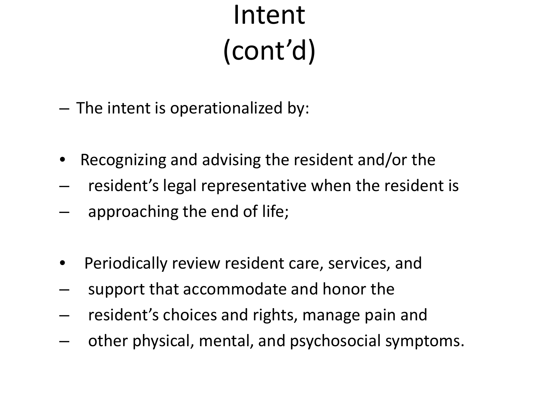### Intent (cont'd)

- The intent is operationalized by:
- Recognizing and advising the resident and/or the
- resident's legal representative when the resident is
- approaching the end of life;
- Periodically review resident care, services, and
- support that accommodate and honor the
- resident's choices and rights, manage pain and
- other physical, mental, and psychosocial symptoms.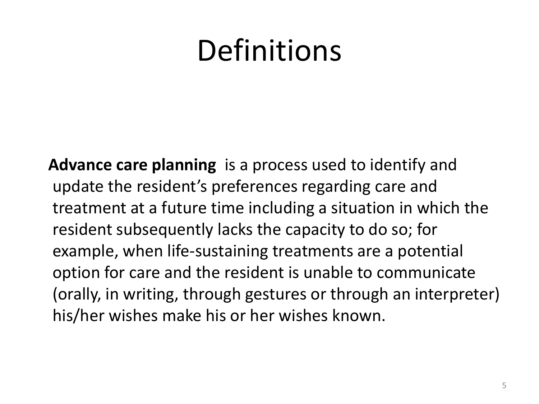### **Definitions**

 **Advance care planning** is a process used to identify and update the resident's preferences regarding care and treatment at a future time including a situation in which the resident subsequently lacks the capacity to do so; for example, when life-sustaining treatments are a potential option for care and the resident is unable to communicate (orally, in writing, through gestures or through an interpreter) his/her wishes make his or her wishes known.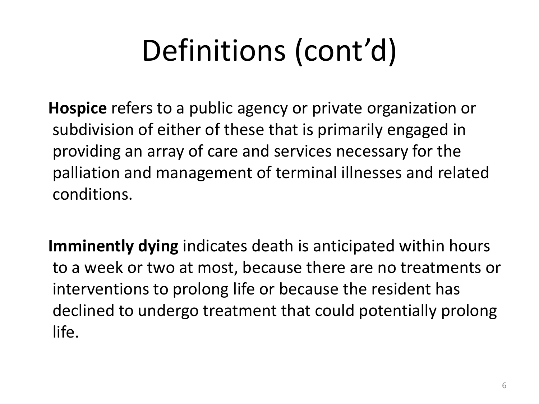# Definitions (cont'd)

 **Hospice** refers to a public agency or private organization or subdivision of either of these that is primarily engaged in providing an array of care and services necessary for the palliation and management of terminal illnesses and related conditions.

 **Imminently dying** indicates death is anticipated within hours to a week or two at most, because there are no treatments or interventions to prolong life or because the resident has declined to undergo treatment that could potentially prolong life.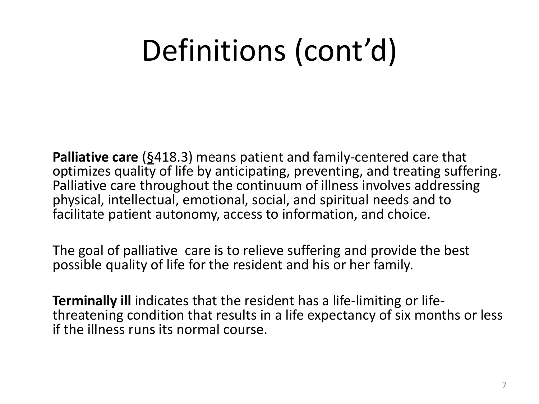### Definitions (cont'd)

**Palliative care** (§418.3) means patient and family-centered care that optimizes quality of life by anticipating, preventing, and treating suffering. Palliative care throughout the continuum of illness involves addressing physical, intellectual, emotional, social, and spiritual needs and to facilitate patient autonomy, access to information, and choice.

The goal of palliative care is to relieve suffering and provide the best possible quality of life for the resident and his or her family.

**Terminally ill** indicates that the resident has a life-limiting or life-<br>threatening condition that results in a life expectancy of six months or less if the illness runs its normal course.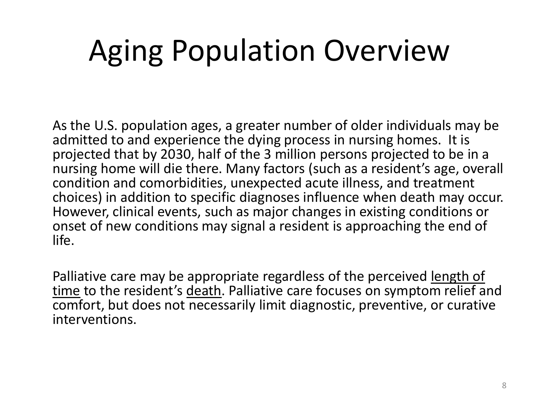### Aging Population Overview

As the U.S. population ages, a greater number of older individuals may be admitted to and experience the dying process in nursing homes. It is projected that by 2030, half of the 3 million persons projected to be in a nursing home will die there. Many factors (such as a resident's age, overall condition and comorbidities, unexpected acute illness, and treatment choices) in addition to specific diagnoses influence when death may occur. However, clinical events, such as major changes in existing conditions or onset of new conditions may signal a resident is approaching the end of life.

Palliative care may be appropriate regardless of the perceived length of time to the resident's death. Palliative care focuses on symptom relief and comfort, but does not necessarily limit diagnostic, preventive, or curative interventions.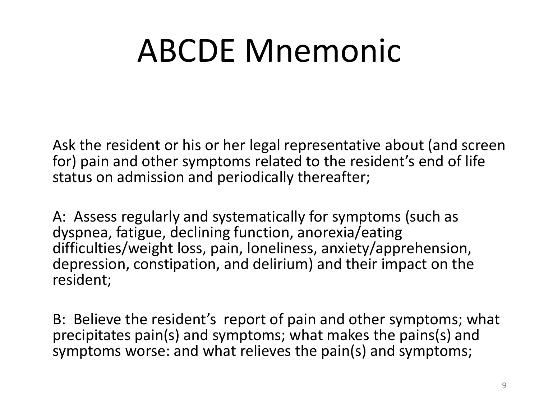# ABCDE Mnemonic

Ask the resident or his or her legal representative about (and screen for) pain and other symptoms related to the resident's end of life status on admission and periodically thereafter;

A: Assess regularly and systematically for symptoms (such as dyspnea, fatigue, declining function, anorexia/eating difficulties/weight loss, pain, loneliness, anxiety/apprehension, depression, constipation, and delirium) and their impact on the resident;

B: Believe the resident's report of pain and other symptoms; what precipitates pain(s) and symptoms; what makes the pains(s) and symptoms worse: and what relieves the pain(s) and symptoms;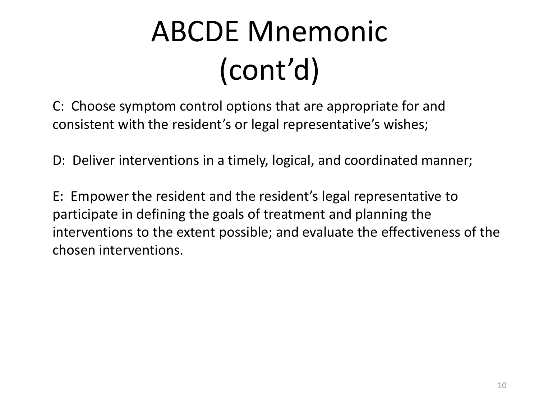# ABCDE Mnemonic (cont'd)

C: Choose symptom control options that are appropriate for and consistent with the resident's or legal representative's wishes;

D: Deliver interventions in a timely, logical, and coordinated manner;

E: Empower the resident and the resident's legal representative to participate in defining the goals of treatment and planning the interventions to the extent possible; and evaluate the effectiveness of the chosen interventions.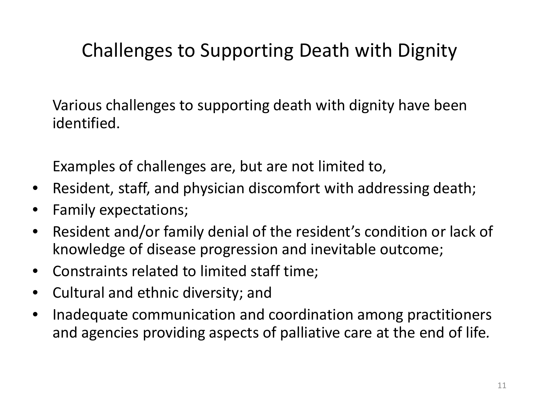### Challenges to Supporting Death with Dignity

Various challenges to supporting death with dignity have been identified.

Examples of challenges are, but are not limited to,

- Resident, staff, and physician discomfort with addressing death;
- Family expectations;
- Resident and/or family denial of the resident's condition or lack of knowledge of disease progression and inevitable outcome;
- Constraints related to limited staff time;
- Cultural and ethnic diversity; and
- Inadequate communication and coordination among practitioners and agencies providing aspects of palliative care at the end of life*.*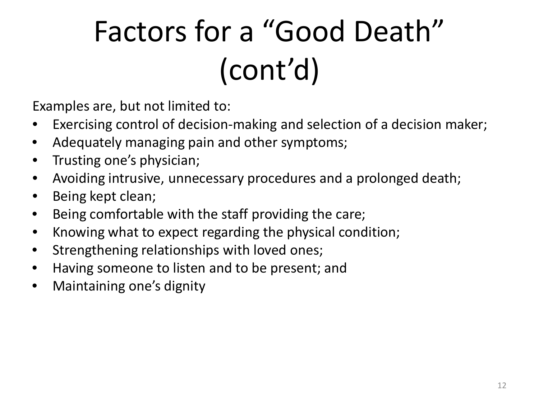# Factors for a "Good Death" (cont'd)

Examples are, but not limited to:

- Exercising control of decision-making and selection of a decision maker;
- Adequately managing pain and other symptoms;
- Trusting one's physician;
- Avoiding intrusive, unnecessary procedures and a prolonged death;
- Being kept clean;
- Being comfortable with the staff providing the care;
- Knowing what to expect regarding the physical condition;
- Strengthening relationships with loved ones;
- Having someone to listen and to be present; and
- Maintaining one's dignity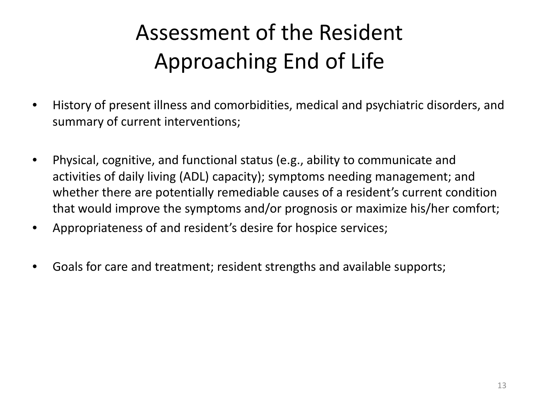### Assessment of the Resident Approaching End of Life

- History of present illness and comorbidities, medical and psychiatric disorders, and summary of current interventions;
- Physical, cognitive, and functional status (e.g., ability to communicate and activities of daily living (ADL) capacity); symptoms needing management; and whether there are potentially remediable causes of a resident's current condition that would improve the symptoms and/or prognosis or maximize his/her comfort;
- Appropriateness of and resident's desire for hospice services;
- Goals for care and treatment; resident strengths and available supports;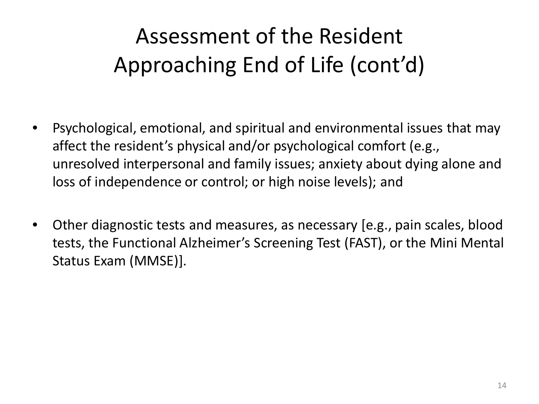### Assessment of the Resident Approaching End of Life (cont'd)

- Psychological, emotional, and spiritual and environmental issues that may affect the resident's physical and/or psychological comfort (e.g., unresolved interpersonal and family issues; anxiety about dying alone and loss of independence or control; or high noise levels); and
- Other diagnostic tests and measures, as necessary [e.g., pain scales, blood tests, the Functional Alzheimer's Screening Test (FAST), or the Mini Mental Status Exam (MMSE)].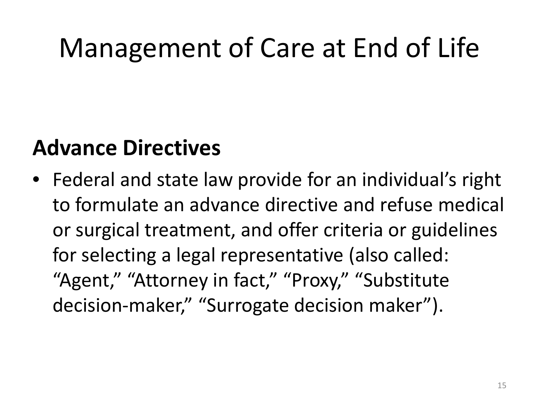## Management of Care at End of Life

## **Advance Directives**

• Federal and state law provide for an individual's right to formulate an advance directive and refuse medical or surgical treatment, and offer criteria or guidelines for selecting a legal representative (also called: "Agent," "Attorney in fact," "Proxy," "Substitute decision-maker," "Surrogate decision maker").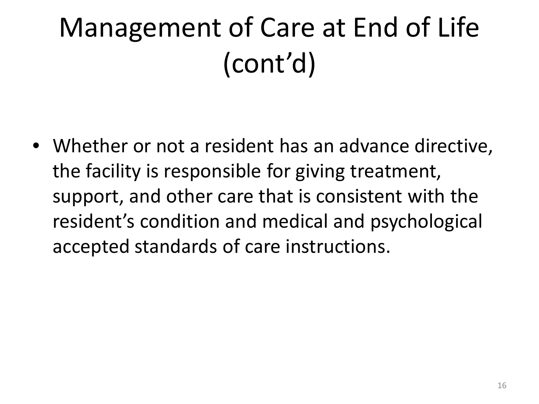• Whether or not a resident has an advance directive, the facility is responsible for giving treatment, support, and other care that is consistent with the resident's condition and medical and psychological accepted standards of care instructions.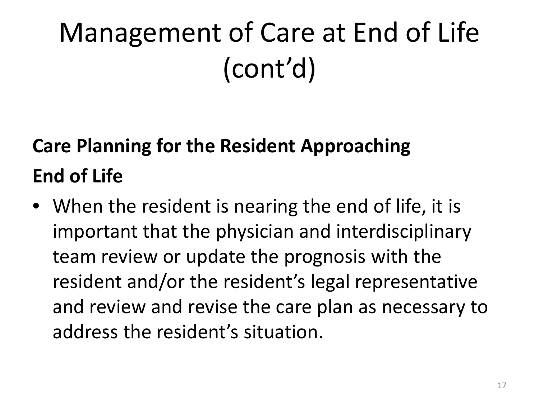## **Care Planning for the Resident Approaching End of Life**

• When the resident is nearing the end of life, it is important that the physician and interdisciplinary team review or update the prognosis with the resident and/or the resident's legal representative and review and revise the care plan as necessary to address the resident's situation.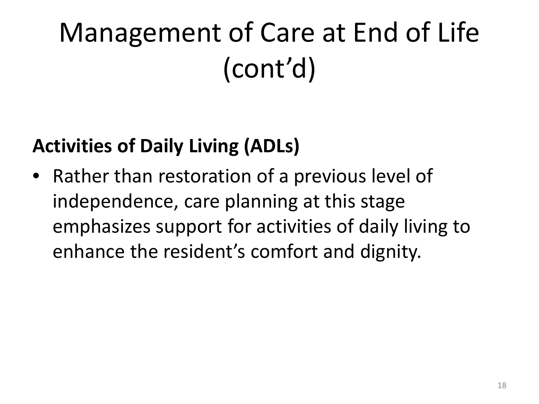## **Activities of Daily Living (ADLs)**

• Rather than restoration of a previous level of independence, care planning at this stage emphasizes support for activities of daily living to enhance the resident's comfort and dignity.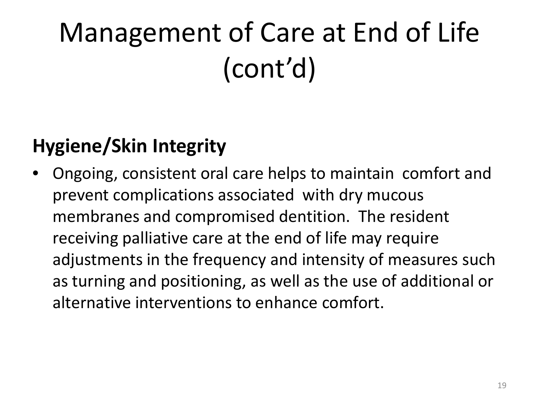## **Hygiene/Skin Integrity**

• Ongoing, consistent oral care helps to maintain comfort and prevent complications associated with dry mucous membranes and compromised dentition. The resident receiving palliative care at the end of life may require adjustments in the frequency and intensity of measures such as turning and positioning, as well as the use of additional or alternative interventions to enhance comfort.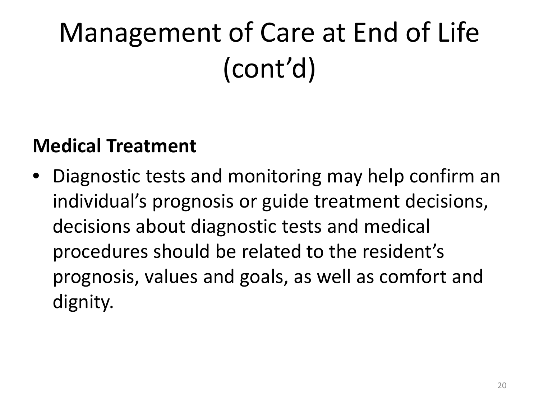## **Medical Treatment**

• Diagnostic tests and monitoring may help confirm an individual's prognosis or guide treatment decisions, decisions about diagnostic tests and medical procedures should be related to the resident's prognosis, values and goals, as well as comfort and dignity.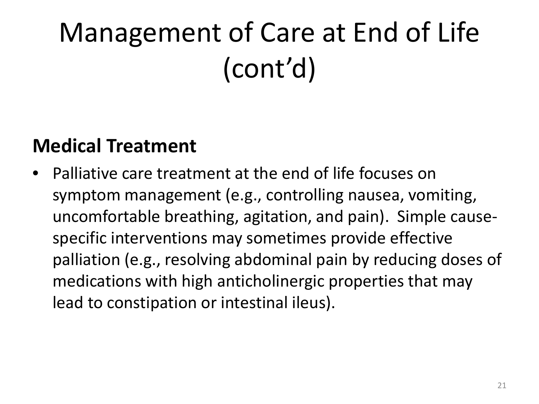## **Medical Treatment**

• Palliative care treatment at the end of life focuses on symptom management (e.g., controlling nausea, vomiting, uncomfortable breathing, agitation, and pain). Simple causespecific interventions may sometimes provide effective palliation (e.g., resolving abdominal pain by reducing doses of medications with high anticholinergic properties that may lead to constipation or intestinal ileus).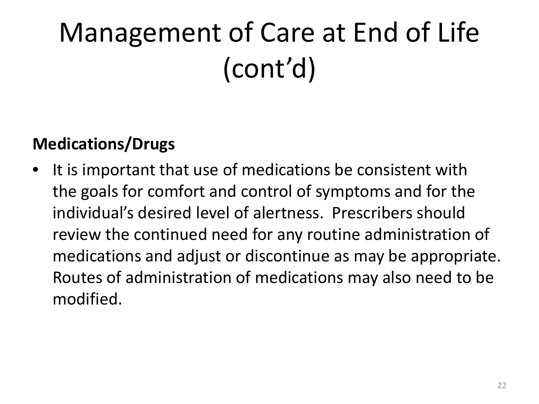### **Medications/Drugs**

• It is important that use of medications be consistent with the goals for comfort and control of symptoms and for the individual's desired level of alertness. Prescribers should review the continued need for any routine administration of medications and adjust or discontinue as may be appropriate. Routes of administration of medications may also need to be modified.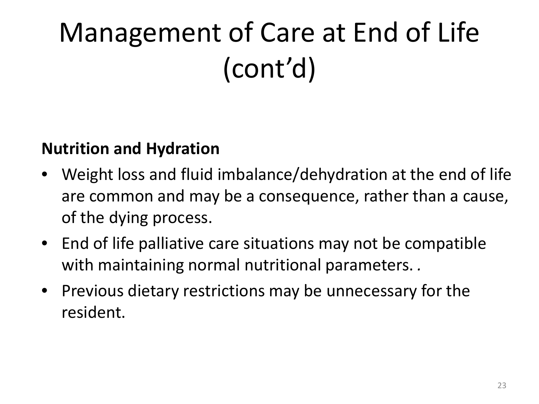#### **Nutrition and Hydration**

- Weight loss and fluid imbalance/dehydration at the end of life are common and may be a consequence, rather than a cause, of the dying process.
- End of life palliative care situations may not be compatible with maintaining normal nutritional parameters. *.*
- Previous dietary restrictions may be unnecessary for the resident.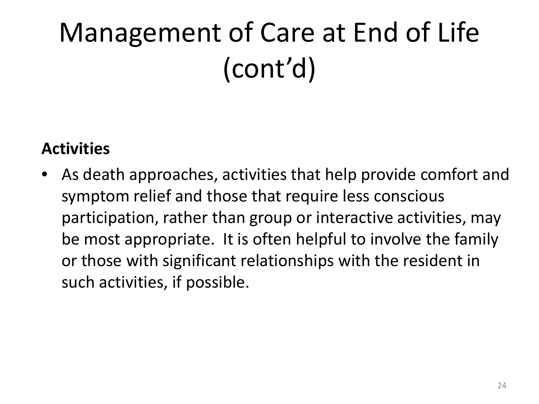### **Activities**

As death approaches, activities that help provide comfort and symptom relief and those that require less conscious participation, rather than group or interactive activities, may be most appropriate. It is often helpful to involve the family or those with significant relationships with the resident in such activities, if possible.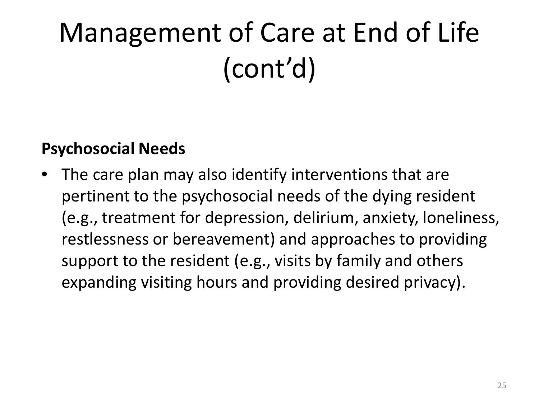#### **Psychosocial Needs**

The care plan may also identify interventions that are pertinent to the psychosocial needs of the dying resident (e.g., treatment for depression, delirium, anxiety, loneliness, restlessness or bereavement) and approaches to providing support to the resident (e.g., visits by family and others expanding visiting hours and providing desired privacy).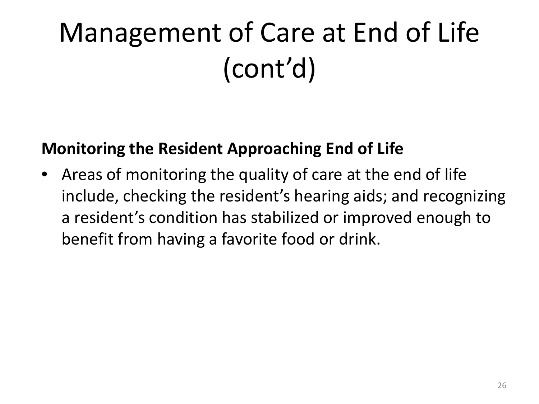### **Monitoring the Resident Approaching End of Life**

Areas of monitoring the quality of care at the end of life include, checking the resident's hearing aids; and recognizing a resident's condition has stabilized or improved enough to benefit from having a favorite food or drink.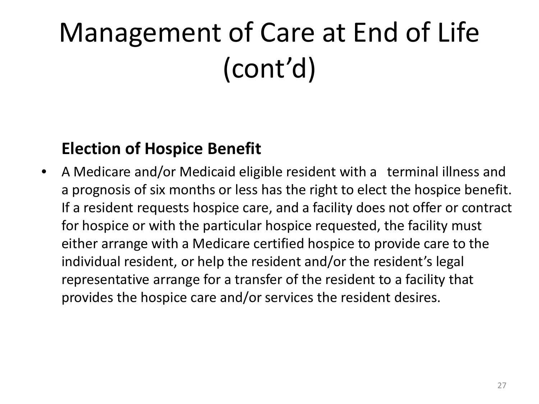### **Election of Hospice Benefit**

• A Medicare and/or Medicaid eligible resident with a terminal illness and a prognosis of six months or less has the right to elect the hospice benefit. If a resident requests hospice care, and a facility does not offer or contract for hospice or with the particular hospice requested, the facility must either arrange with a Medicare certified hospice to provide care to the individual resident, or help the resident and/or the resident's legal representative arrange for a transfer of the resident to a facility that provides the hospice care and/or services the resident desires.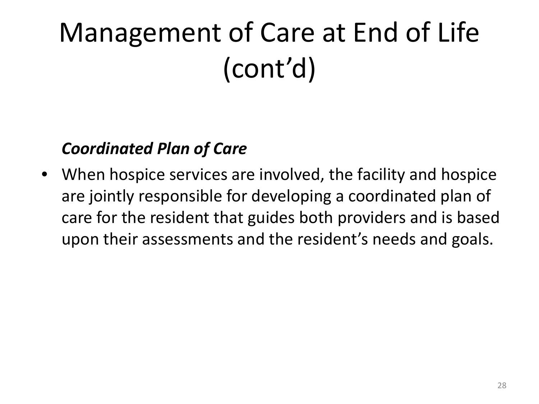### *Coordinated Plan of Care*

• When hospice services are involved, the facility and hospice are jointly responsible for developing a coordinated plan of care for the resident that guides both providers and is based upon their assessments and the resident's needs and goals.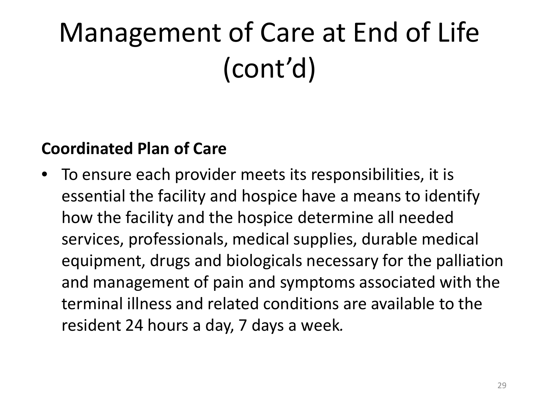#### **Coordinated Plan of Care**

• To ensure each provider meets its responsibilities, it is essential the facility and hospice have a means to identify how the facility and the hospice determine all needed services, professionals, medical supplies, durable medical equipment, drugs and biologicals necessary for the palliation and management of pain and symptoms associated with the terminal illness and related conditions are available to the resident 24 hours a day, 7 days a week*.*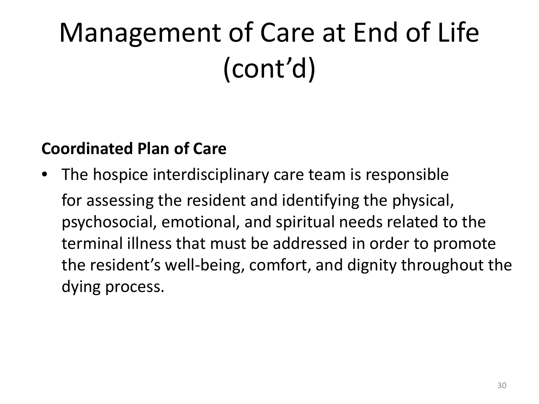### **Coordinated Plan of Care**

• The hospice interdisciplinary care team is responsible for assessing the resident and identifying the physical, psychosocial, emotional, and spiritual needs related to the terminal illness that must be addressed in order to promote the resident's well-being, comfort, and dignity throughout the dying process.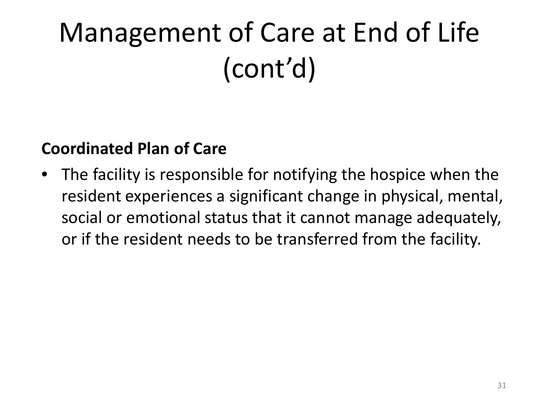#### **Coordinated Plan of Care**

• The facility is responsible for notifying the hospice when the resident experiences a significant change in physical, mental, social or emotional status that it cannot manage adequately, or if the resident needs to be transferred from the facility.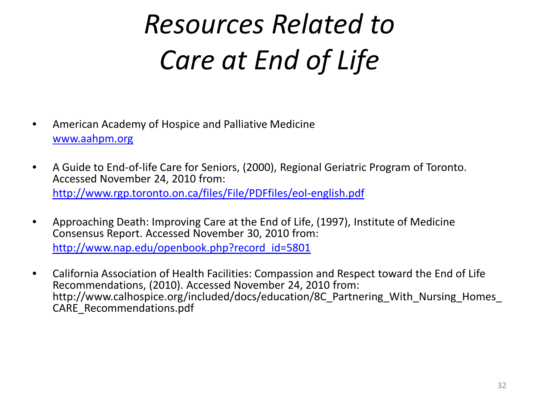## *Resources Related to Care at End of Life*

- American Academy of Hospice and Palliative Medicine [www.aahpm.org](http://www.aahpm.org/)
- A Guide to End-of-life Care for Seniors, (2000), Regional Geriatric Program of Toronto. Accessed November 24, 2010 from: <http://www.rgp.toronto.on.ca/files/File/PDFfiles/eol-english.pdf>
- Approaching Death: Improving Care at the End of Life, (1997), Institute of Medicine Consensus Report. Accessed November 30, 2010 from: [http://www.nap.edu/openbook.php?record\\_id=5801](http://www.nap.edu/openbook.php?record_id=5801)
- California Association of Health Facilities: Compassion and Respect toward the End of Life Recommendations, (2010). Accessed November 24, 2010 from: http://www.calhospice.org/included/docs/education/8C\_Partnering\_With\_Nursing\_Homes CARE\_Recommendations.pdf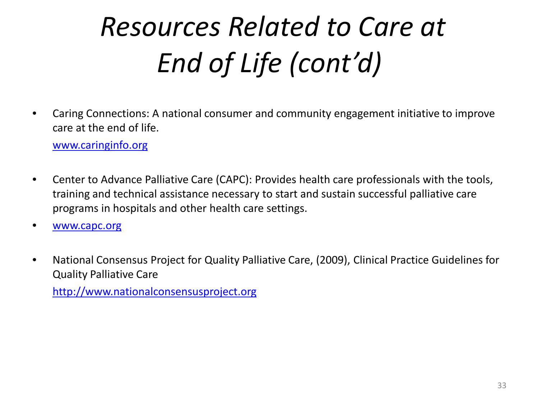# *Resources Related to Care at End of Life (cont'd)*

• Caring Connections: A national consumer and community engagement initiative to improve care at the end of life.

[www.caringinfo.org](http://www.caringinfo.org/)

- Center to Advance Palliative Care (CAPC): Provides health care professionals with the tools, training and technical assistance necessary to start and sustain successful palliative care programs in hospitals and other health care settings.
- [www.capc.org](http://www.capc.org/)
- National Consensus Project for Quality Palliative Care, (2009), Clinical Practice Guidelines for Quality Palliative Care

[http://www.nationalconsensusproject.org](http://www.nationalconsensusproject.org/)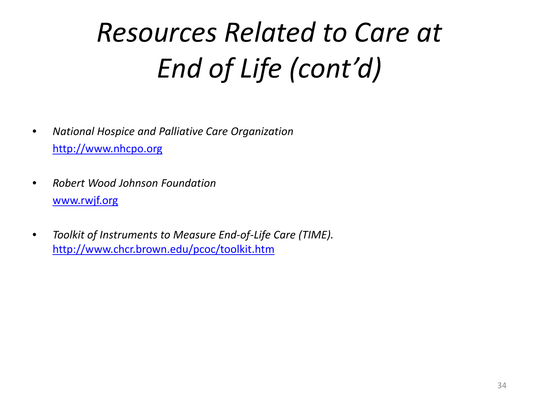# *Resources Related to Care at End of Life (cont'd)*

- *National Hospice and Palliative Care Organization* [http://www.nhcpo.org](http://www.nhcpo.org/)
- *Robert Wood Johnson Foundation* [www.rwjf.org](http://www.rwjf.org/)
- *Toolkit of Instruments to Measure End-of-Life Care (TIME).*  <http://www.chcr.brown.edu/pcoc/toolkit.htm>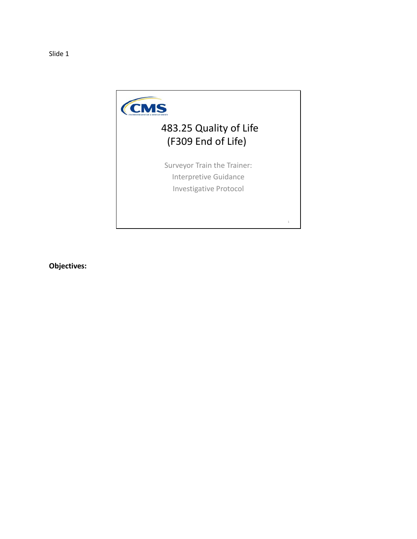

#### 483.25 Quality of Life (F309 End of Life)

Surveyor Train the Trainer: Interpretive Guidance Investigative Protocol

1

**Objectives:**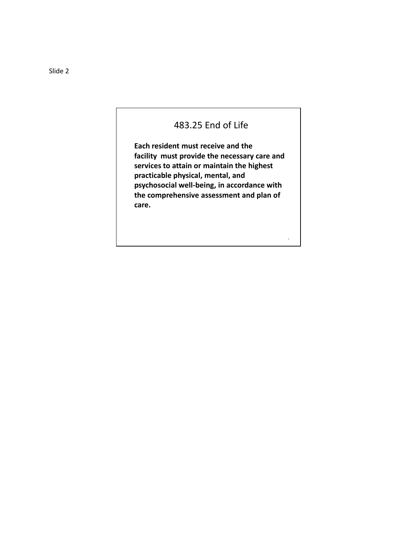#### 483.25 End of Life

**Each resident must receive and the facility must provide the necessary care and services to attain or maintain the highest practicable physical, mental, and psychosocial well-being, in accordance with the comprehensive assessment and plan of care.**

2

Slide 2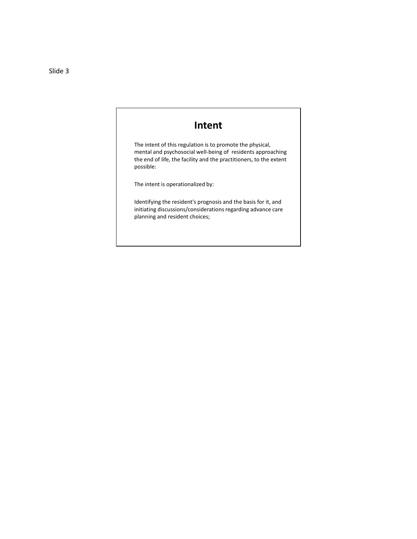#### **Intent**

The intent of this regulation is to promote the physical, mental and psychosocial well-being of residents approaching the end of life, the facility and the practitioners, to the extent possible:

The intent is operationalized by:

Identifying the resident's prognosis and the basis for it, and initiating discussions/considerations regarding advance care planning and resident choices;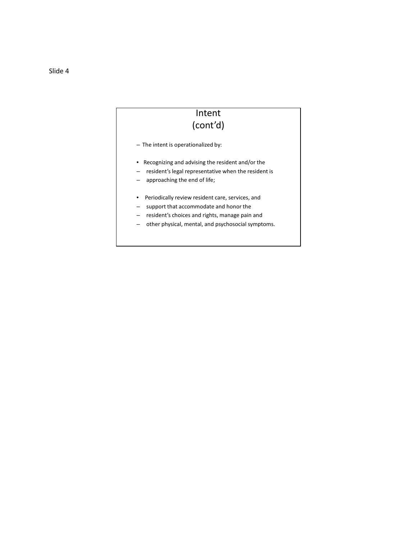#### Intent (cont'd)

- The intent is operationalized by:
- Recognizing and advising the resident and/or the
- resident's legal representative when the resident is
- approaching the end of life;
- Periodically review resident care, services, and
- support that accommodate and honor the
- resident's choices and rights, manage pain and
- other physical, mental, and psychosocial symptoms.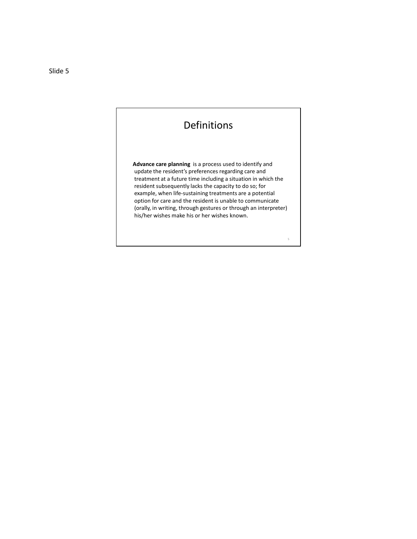Definitions

**Advance care planning** is a process used to identify and update the resident's preferences regarding care and treatment at a future time including a situation in which the resident subsequently lacks the capacity to do so; for example, when life-sustaining treatments are a potential option for care and the resident is unable to communicate (orally, in writing, through gestures or through an interpreter) his/her wishes make his or her wishes known.

5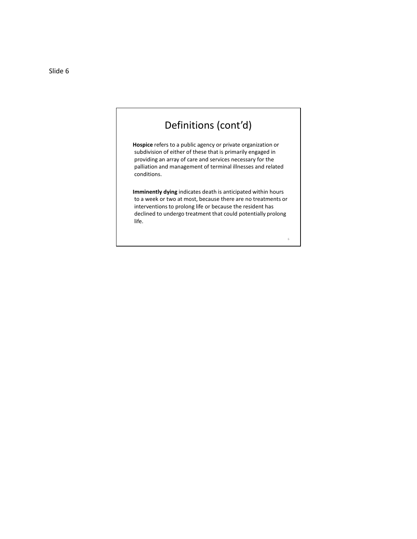

**Hospice** refers to a public agency or private organization or subdivision of either of these that is primarily engaged in providing an array of care and services necessary for the palliation and management of terminal illnesses and related conditions.

**Imminently dying** indicates death is anticipated within hours to a week or two at most, because there are no treatments or interventions to prolong life or because the resident has declined to undergo treatment that could potentially prolong life.

6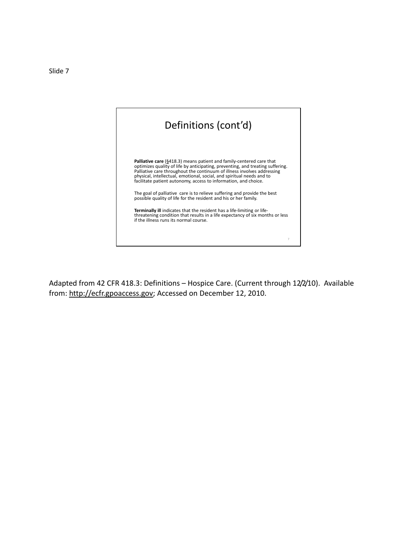

Adapted from 42 CFR 418.3: Definitions – Hospice Care. (Current through 12/2/10). Available from: http://ecfr.gpoaccess.gov; Accessed on December 12, 2010.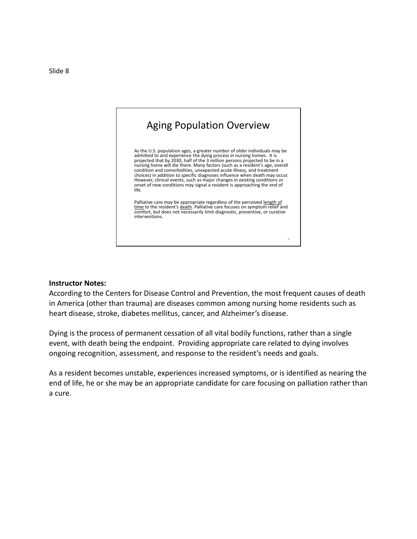

#### **Instructor Notes:**

According to the Centers for Disease Control and Prevention, the most frequent causes of death in America (other than trauma) are diseases common among nursing home residents such as heart disease, stroke, diabetes mellitus, cancer, and Alzheimer's disease.

Dying is the process of permanent cessation of all vital bodily functions, rather than a single event, with death being the endpoint. Providing appropriate care related to dying involves ongoing recognition, assessment, and response to the resident's needs and goals.

As a resident becomes unstable, experiences increased symptoms, or is identified as nearing the end of life, he or she may be an appropriate candidate for care focusing on palliation rather than a cure.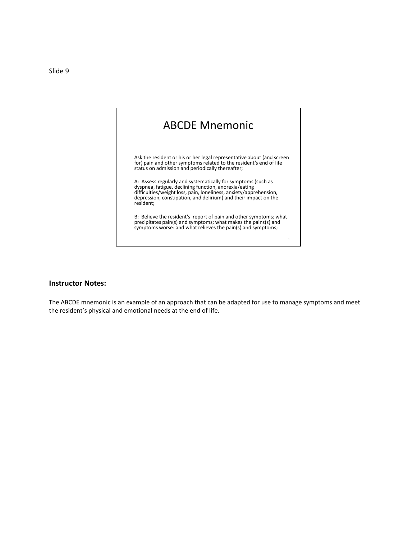

#### **Instructor Notes:**

The ABCDE mnemonic is an example of an approach that can be adapted for use to manage symptoms and meet the resident's physical and emotional needs at the end of life.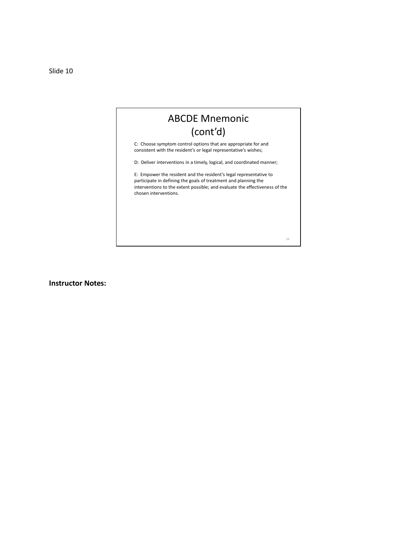Slide 10

#### ABCDE Mnemonic (cont'd)

C: Choose symptom control options that are appropriate for and consistent with the resident's or legal representative's wishes;

D: Deliver interventions in a timely, logical, and coordinated manner;

E: Empower the resident and the resident's legal representative to participate in defining the goals of treatment and planning the interventions to the extent possible; and evaluate the effectiveness of the chosen interventions.

10

**Instructor Notes:**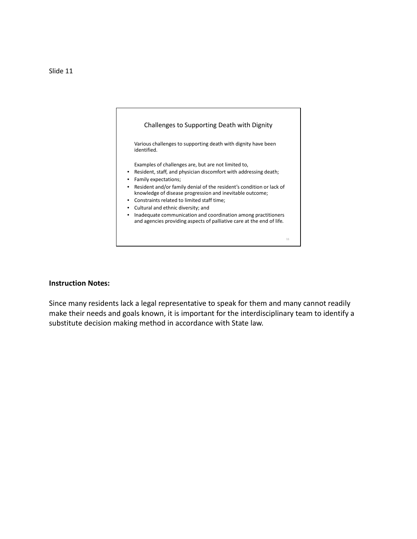

#### **Instruction Notes:**

Since many residents lack a legal representative to speak for them and many cannot readily make their needs and goals known, it is important for the interdisciplinary team to identify a substitute decision making method in accordance with State law.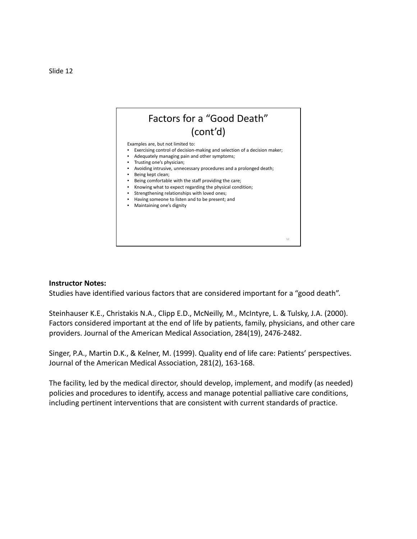

#### **Instructor Notes:**

Studies have identified various factors that are considered important for a "good death".

Steinhauser K.E., Christakis N.A., Clipp E.D., McNeilly, M., McIntyre, L. & Tulsky, J.A. (2000). Factors considered important at the end of life by patients, family, physicians, and other care providers. Journal of the American Medical Association, 284(19), 2476-2482.

Singer, P.A., Martin D.K., & Kelner, M. (1999). Quality end of life care: Patients' perspectives. Journal of the American Medical Association, 281(2), 163-168.

The facility, led by the medical director, should develop, implement, and modify (as needed) policies and procedures to identify, access and manage potential palliative care conditions, including pertinent interventions that are consistent with current standards of practice.

#### Slide 12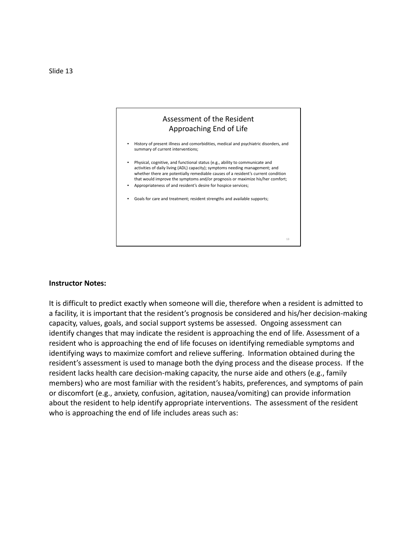

#### **Instructor Notes:**

It is difficult to predict exactly when someone will die, therefore when a resident is admitted to a facility, it is important that the resident's prognosis be considered and his/her decision-making capacity, values, goals, and social support systems be assessed. Ongoing assessment can identify changes that may indicate the resident is approaching the end of life. Assessment of a resident who is approaching the end of life focuses on identifying remediable symptoms and identifying ways to maximize comfort and relieve suffering. Information obtained during the resident's assessment is used to manage both the dying process and the disease process. If the resident lacks health care decision-making capacity, the nurse aide and others (e.g., family members) who are most familiar with the resident's habits, preferences, and symptoms of pain or discomfort (e.g., anxiety, confusion, agitation, nausea/vomiting) can provide information about the resident to help identify appropriate interventions. The assessment of the resident who is approaching the end of life includes areas such as: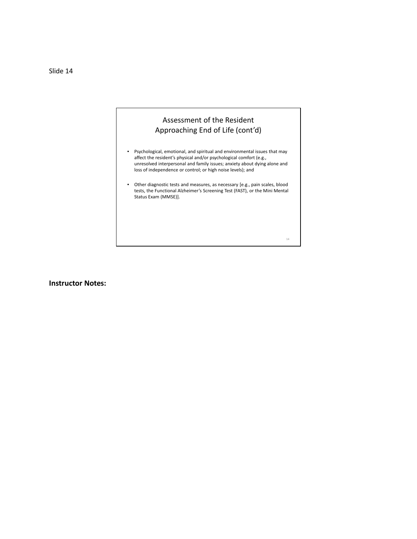Slide 14

#### Assessment of the Resident Approaching End of Life (cont'd)

- Psychological, emotional, and spiritual and environmental issues that may affect the resident's physical and/or psychological comfort (e.g., unresolved interpersonal and family issues; anxiety about dying alone and loss of independence or control; or high noise levels); and
- Other diagnostic tests and measures, as necessary [e.g., pain scales, blood tests, the Functional Alzheimer's Screening Test (FAST), or the Mini Mental Status Exam (MMSE)].

14

**Instructor Notes:**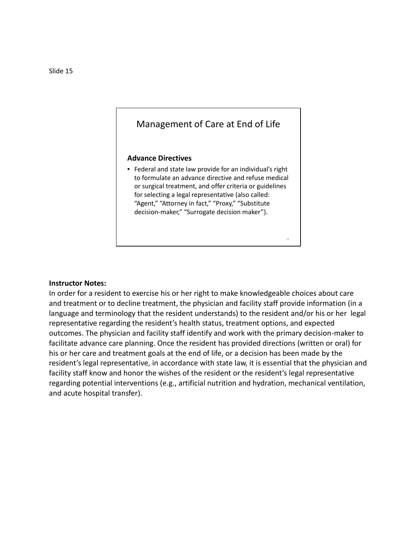#### Management of Care at End of Life **Advance Directives** • Federal and state law provide for an individual's right to formulate an advance directive and refuse medical or surgical treatment, and offer criteria or guidelines for selecting a legal representative (also called: "Agent," "Attorney in fact," "Proxy," "Substitute decision-maker," "Surrogate decision maker").

15

#### **Instructor Notes:**

In order for a resident to exercise his or her right to make knowledgeable choices about care and treatment or to decline treatment, the physician and facility staff provide information (in a language and terminology that the resident understands) to the resident and/or his or her legal representative regarding the resident's health status, treatment options, and expected outcomes. The physician and facility staff identify and work with the primary decision-maker to facilitate advance care planning. Once the resident has provided directions (written or oral) for his or her care and treatment goals at the end of life, or a decision has been made by the resident's legal representative, in accordance with state law, it is essential that the physician and facility staff know and honor the wishes of the resident or the resident's legal representative regarding potential interventions (e.g., artificial nutrition and hydration, mechanical ventilation, and acute hospital transfer).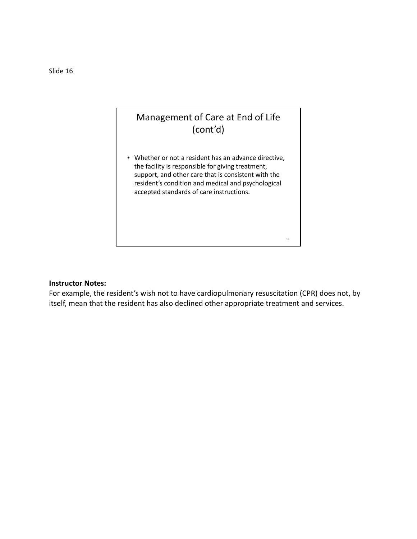

#### **Instructor Notes:**

For example, the resident's wish not to have cardiopulmonary resuscitation (CPR) does not, by itself, mean that the resident has also declined other appropriate treatment and services.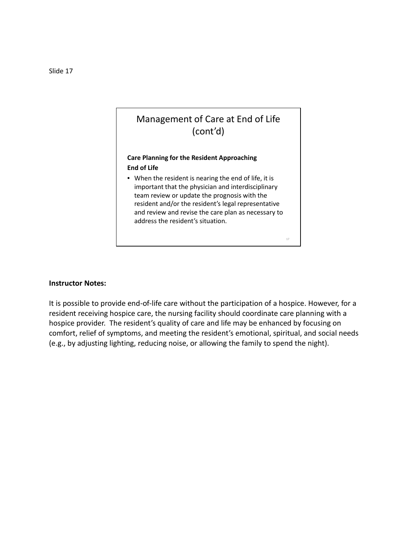

It is possible to provide end-of-life care without the participation of a hospice. However, for a resident receiving hospice care, the nursing facility should coordinate care planning with a hospice provider. The resident's quality of care and life may be enhanced by focusing on comfort, relief of symptoms, and meeting the resident's emotional, spiritual, and social needs (e.g., by adjusting lighting, reducing noise, or allowing the family to spend the night).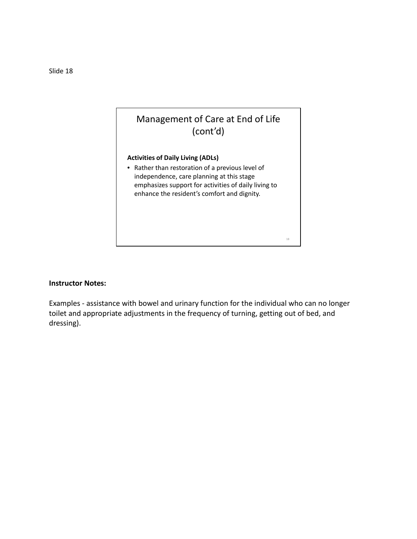

Examples - assistance with bowel and urinary function for the individual who can no longer toilet and appropriate adjustments in the frequency of turning, getting out of bed, and dressing).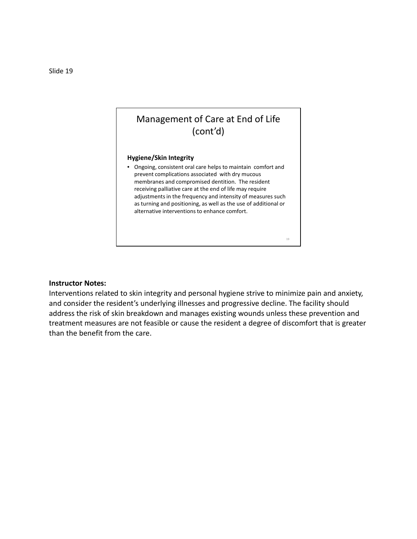#### **Hygiene/Skin Integrity**

• Ongoing, consistent oral care helps to maintain comfort and prevent complications associated with dry mucous membranes and compromised dentition. The resident receiving palliative care at the end of life may require adjustments in the frequency and intensity of measures such as turning and positioning, as well as the use of additional or alternative interventions to enhance comfort.

19

#### **Instructor Notes:**

Interventions related to skin integrity and personal hygiene strive to minimize pain and anxiety, and consider the resident's underlying illnesses and progressive decline. The facility should address the risk of skin breakdown and manages existing wounds unless these prevention and treatment measures are not feasible or cause the resident a degree of discomfort that is greater than the benefit from the care.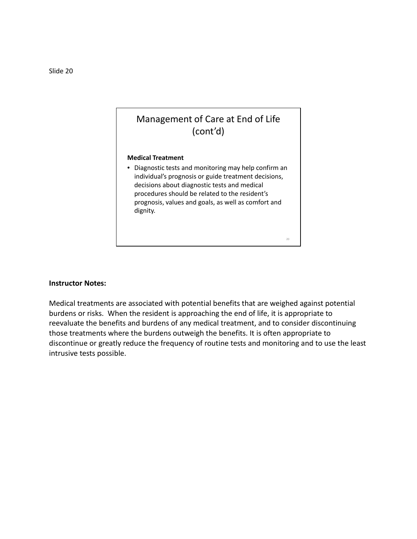#### **Medical Treatment**

• Diagnostic tests and monitoring may help confirm an individual's prognosis or guide treatment decisions, decisions about diagnostic tests and medical procedures should be related to the resident's prognosis, values and goals, as well as comfort and dignity.

20

#### **Instructor Notes:**

Medical treatments are associated with potential benefits that are weighed against potential burdens or risks. When the resident is approaching the end of life, it is appropriate to reevaluate the benefits and burdens of any medical treatment, and to consider discontinuing those treatments where the burdens outweigh the benefits. It is often appropriate to discontinue or greatly reduce the frequency of routine tests and monitoring and to use the least intrusive tests possible.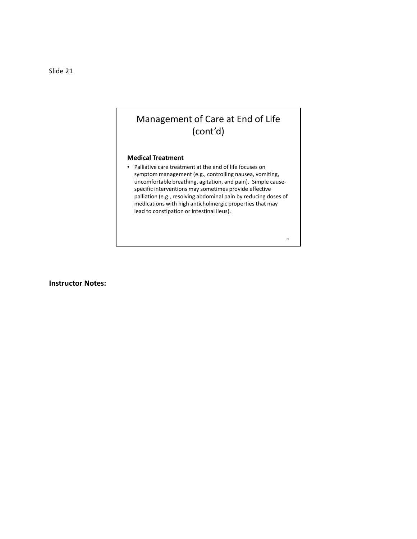#### **Medical Treatment**

• Palliative care treatment at the end of life focuses on symptom management (e.g., controlling nausea, vomiting, uncomfortable breathing, agitation, and pain). Simple causespecific interventions may sometimes provide effective palliation (e.g., resolving abdominal pain by reducing doses of medications with high anticholinergic properties that may lead to constipation or intestinal ileus).

21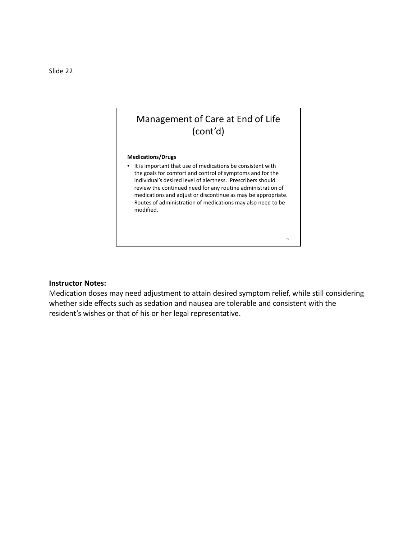#### **Medications/Drugs**

• It is important that use of medications be consistent with the goals for comfort and control of symptoms and for the individual's desired level of alertness. Prescribers should review the continued need for any routine administration of medications and adjust or discontinue as may be appropriate. Routes of administration of medications may also need to be modified.

22

#### **Instructor Notes:**

Medication doses may need adjustment to attain desired symptom relief, while still considering whether side effects such as sedation and nausea are tolerable and consistent with the resident's wishes or that of his or her legal representative.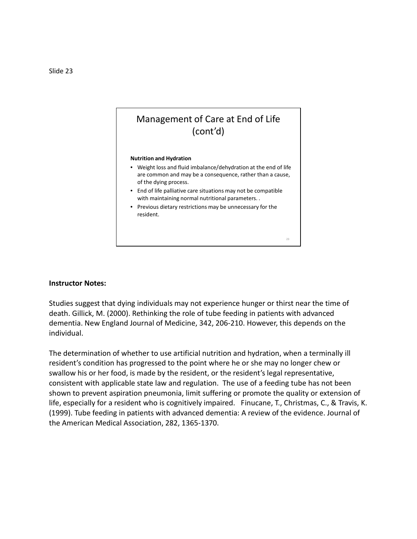#### **Nutrition and Hydration**

• Weight loss and fluid imbalance/dehydration at the end of life are common and may be a consequence, rather than a cause, of the dying process.

23

- End of life palliative care situations may not be compatible with maintaining normal nutritional parameters. *.*
- Previous dietary restrictions may be unnecessary for the resident.

#### **Instructor Notes:**

Studies suggest that dying individuals may not experience hunger or thirst near the time of death. Gillick, M. (2000). Rethinking the role of tube feeding in patients with advanced dementia. New England Journal of Medicine, 342, 206-210. However, this depends on the individual.

The determination of whether to use artificial nutrition and hydration, when a terminally ill resident's condition has progressed to the point where he or she may no longer chew or swallow his or her food, is made by the resident, or the resident's legal representative, consistent with applicable state law and regulation. The use of a feeding tube has not been shown to prevent aspiration pneumonia, limit suffering or promote the quality or extension of life, especially for a resident who is cognitively impaired. Finucane, T., Christmas, C., & Travis, K. (1999). Tube feeding in patients with advanced dementia: A review of the evidence. Journal of the American Medical Association, 282, 1365-1370.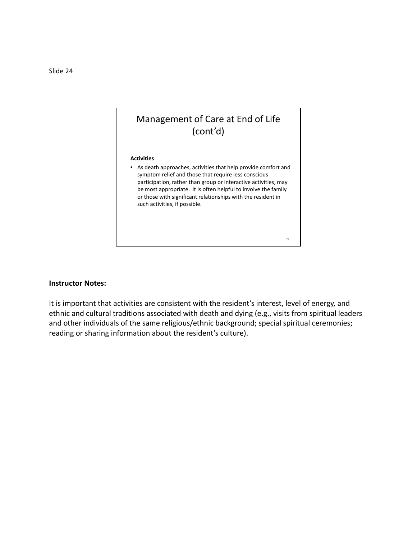

It is important that activities are consistent with the resident's interest, level of energy, and ethnic and cultural traditions associated with death and dying (e.g., visits from spiritual leaders and other individuals of the same religious/ethnic background; special spiritual ceremonies; reading or sharing information about the resident's culture).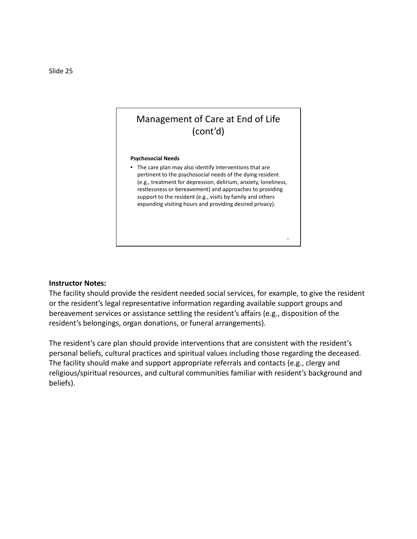#### **Psychosocial Needs**

• The care plan may also identify interventions that are pertinent to the psychosocial needs of the dying resident (e.g., treatment for depression, delirium, anxiety, loneliness, restlessness or bereavement) and approaches to providing support to the resident (e.g., visits by family and others expanding visiting hours and providing desired privacy).

25

#### **Instructor Notes:**

The facility should provide the resident needed social services, for example, to give the resident or the resident's legal representative information regarding available support groups and bereavement services or assistance settling the resident's affairs (e.g., disposition of the resident's belongings, organ donations, or funeral arrangements).

The resident's care plan should provide interventions that are consistent with the resident's personal beliefs, cultural practices and spiritual values including those regarding the deceased. The facility should make and support appropriate referrals and contacts (e.g., clergy and religious/spiritual resources, and cultural communities familiar with resident's background and beliefs).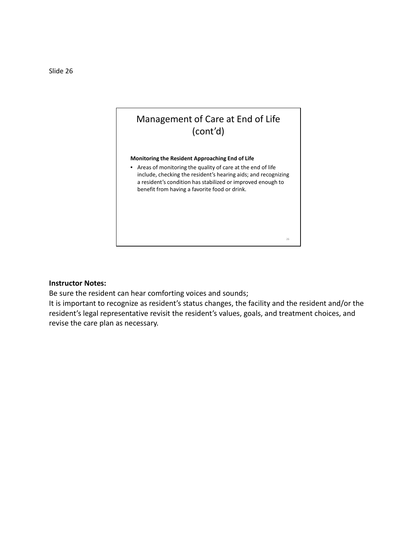

Be sure the resident can hear comforting voices and sounds;

It is important to recognize as resident's status changes, the facility and the resident and/or the resident's legal representative revisit the resident's values, goals, and treatment choices, and revise the care plan as necessary.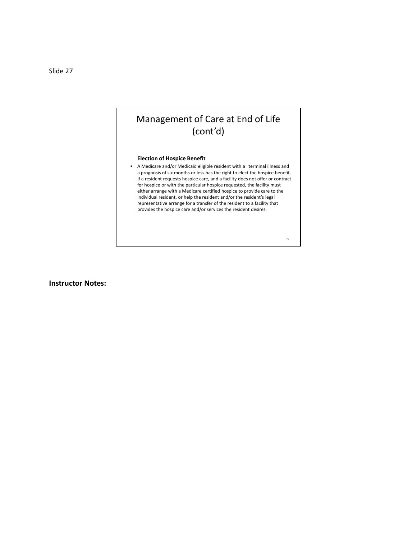#### **Election of Hospice Benefit**

• A Medicare and/or Medicaid eligible resident with a terminal illness and a prognosis of six months or less has the right to elect the hospice benefit. If a resident requests hospice care, and a facility does not offer or contract for hospice or with the particular hospice requested, the facility must either arrange with a Medicare certified hospice to provide care to the individual resident, or help the resident and/or the resident's legal representative arrange for a transfer of the resident to a facility that provides the hospice care and/or services the resident desires.

27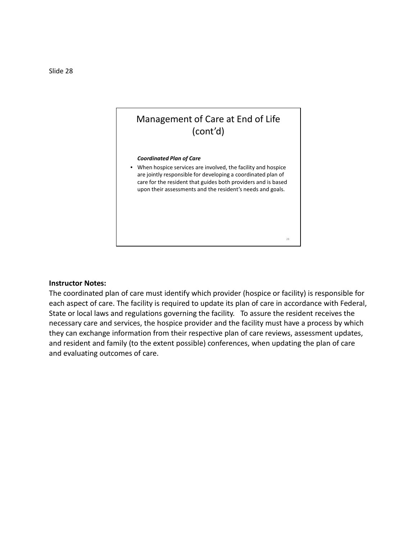

The coordinated plan of care must identify which provider (hospice or facility) is responsible for each aspect of care. The facility is required to update its plan of care in accordance with Federal, State or local laws and regulations governing the facility. To assure the resident receives the necessary care and services, the hospice provider and the facility must have a process by which they can exchange information from their respective plan of care reviews, assessment updates, and resident and family (to the extent possible) conferences, when updating the plan of care and evaluating outcomes of care.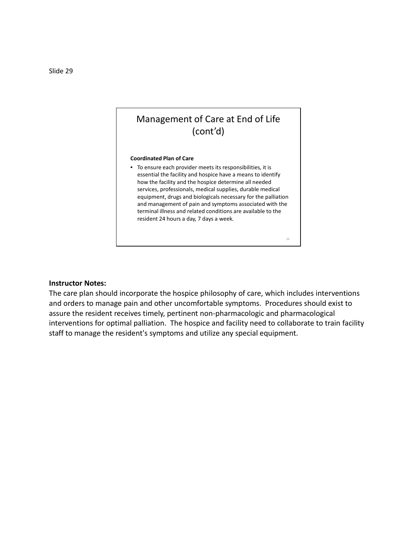#### **Coordinated Plan of Care**

• To ensure each provider meets its responsibilities, it is essential the facility and hospice have a means to identify how the facility and the hospice determine all needed services, professionals, medical supplies, durable medical equipment, drugs and biologicals necessary for the palliation and management of pain and symptoms associated with the terminal illness and related conditions are available to the resident 24 hours a day, 7 days a week*.* 

29

#### **Instructor Notes:**

The care plan should incorporate the hospice philosophy of care, which includes interventions and orders to manage pain and other uncomfortable symptoms. Procedures should exist to assure the resident receives timely, pertinent non-pharmacologic and pharmacological interventions for optimal palliation. The hospice and facility need to collaborate to train facility staff to manage the resident's symptoms and utilize any special equipment.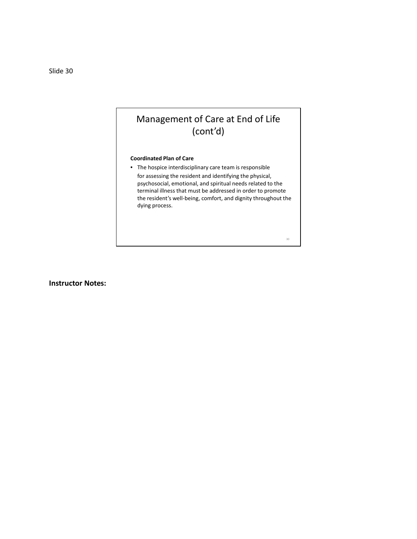#### **Coordinated Plan of Care**

• The hospice interdisciplinary care team is responsible for assessing the resident and identifying the physical, psychosocial, emotional, and spiritual needs related to the terminal illness that must be addressed in order to promote the resident's well-being, comfort, and dignity throughout the dying process.

30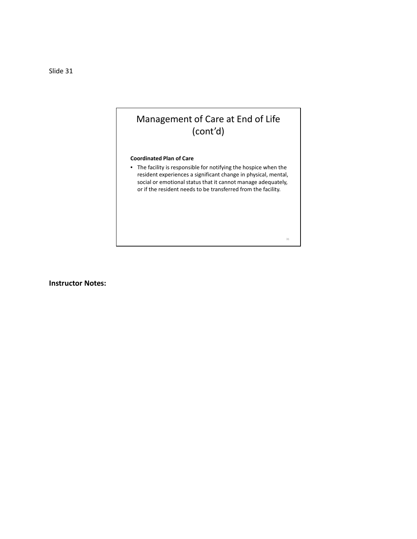#### **Coordinated Plan of Care**

• The facility is responsible for notifying the hospice when the resident experiences a significant change in physical, mental, social or emotional status that it cannot manage adequately, or if the resident needs to be transferred from the facility.

31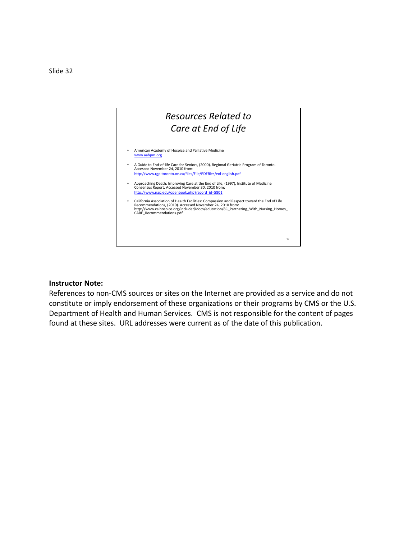

References to non-CMS sources or sites on the Internet are provided as a service and do not constitute or imply endorsement of these organizations or their programs by CMS or the U.S. Department of Health and Human Services. CMS is not responsible for the content of pages found at these sites. URL addresses were current as of the date of this publication.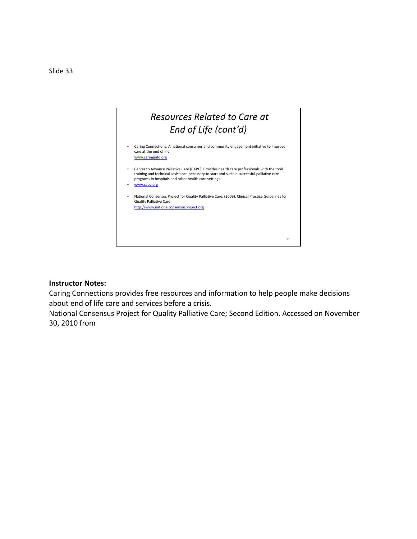

Caring Connections provides free resources and information to help people make decisions about end of life care and services before a crisis.

National Consensus Project for Quality Palliative Care; Second Edition. Accessed on November 30, 2010 from